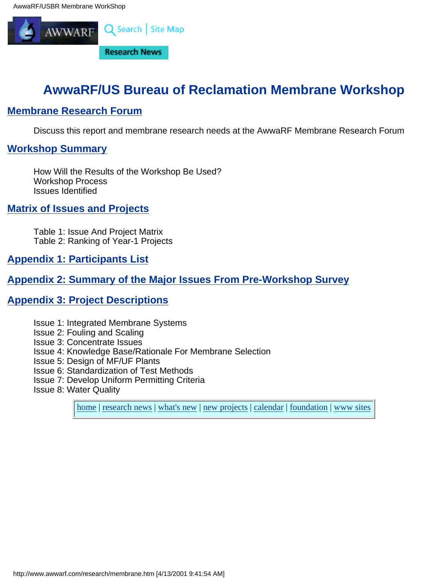<span id="page-0-0"></span>

# **AwwaRF/US Bureau of Reclamation Membrane Workshop**

## **[Membrane Research Forum](#page-69-0)**

Discuss this report and membrane research needs at the AwwaRF Membrane Research Forum

## **[Workshop Summary](#page-1-0)**

How Will the Results of the Workshop Be Used? Workshop Process Issues Identified

## **[Matrix of Issues and Projects](#page-6-0)**

Table 1: Issue And Project Matrix Table 2: Ranking of Year-1 Projects

**[Appendix 1: Participants List](#page-49-0)**

## **[Appendix 2: Summary of the Major Issues From Pre-Workshop Survey](#page-53-0)**

## **[Appendix 3: Project Descriptions](#page-55-0)**

- Issue 1: Integrated Membrane Systems
- Issue 2: Fouling and Scaling
- Issue 3: Concentrate Issues
- Issue 4: Knowledge Base/Rationale For Membrane Selection
- Issue 5: Design of MF/UF Plants
- Issue 6: Standardization of Test Methods
- Issue 7: Develop Uniform Permitting Criteria
- Issue 8: Water Quality

[home](http://www.awwarf.com/index.html) | [research news](http://www.awwarf.com/research.html) | [what's new](http://www.awwarf.com/whatsnew.html) | [new projects](http://www.awwarf.com/newprojects.html) | [calendar](http://www.awwarf.com/calendar.html) | [foundation](http://www.awwarf.com/meet/) | [www sites](http://www.awwarf.com/othersites.html)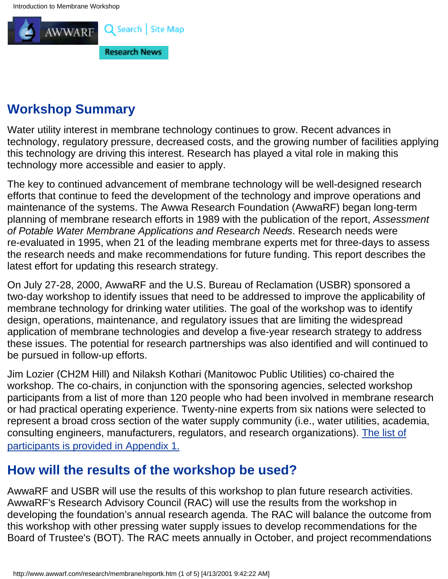<span id="page-1-0"></span>

# **Workshop Summary**

Water utility interest in membrane technology continues to grow. Recent advances in technology, regulatory pressure, decreased costs, and the growing number of facilities applying this technology are driving this interest. Research has played a vital role in making this technology more accessible and easier to apply.

The key to continued advancement of membrane technology will be well-designed research efforts that continue to feed the development of the technology and improve operations and maintenance of the systems. The Awwa Research Foundation (AwwaRF) began long-term planning of membrane research efforts in 1989 with the publication of the report, *Assessment of Potable Water Membrane Applications and Research Needs*. Research needs were re-evaluated in 1995, when 21 of the leading membrane experts met for three-days to assess the research needs and make recommendations for future funding. This report describes the latest effort for updating this research strategy.

On July 27-28, 2000, AwwaRF and the U.S. Bureau of Reclamation (USBR) sponsored a two-day workshop to identify issues that need to be addressed to improve the applicability of membrane technology for drinking water utilities. The goal of the workshop was to identify design, operations, maintenance, and regulatory issues that are limiting the widespread application of membrane technologies and develop a five-year research strategy to address these issues. The potential for research partnerships was also identified and will continued to be pursued in follow-up efforts.

Jim Lozier (CH2M Hill) and Nilaksh Kothari (Manitowoc Public Utilities) co-chaired the workshop. The co-chairs, in conjunction with the sponsoring agencies, selected workshop participants from a list of more than 120 people who had been involved in membrane research or had practical operating experience. Twenty-nine experts from six nations were selected to represent a broad cross section of the water supply community (i.e., water utilities, academia, consulting engineers, manufacturers, regulators, and research organizations). [The list of](#page-49-0) [participants is provided in Appendix 1.](#page-49-0)

# **How will the results of the workshop be used?**

AwwaRF and USBR will use the results of this workshop to plan future research activities. AwwaRF's Research Advisory Council (RAC) will use the results from the workshop in developing the foundation's annual research agenda. The RAC will balance the outcome from this workshop with other pressing water supply issues to develop recommendations for the Board of Trustee's (BOT). The RAC meets annually in October, and project recommendations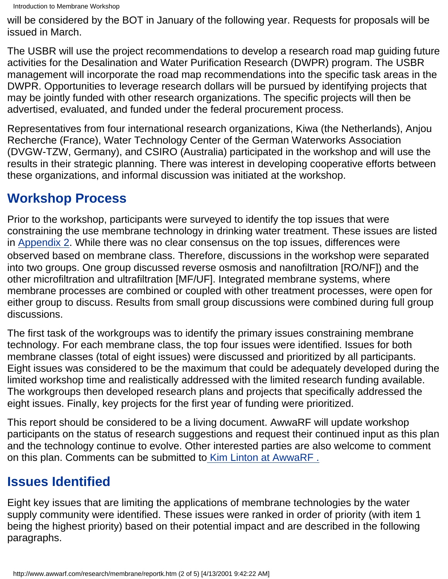will be considered by the BOT in January of the following year. Requests for proposals will be issued in March.

The USBR will use the project recommendations to develop a research road map guiding future activities for the Desalination and Water Purification Research (DWPR) program. The USBR management will incorporate the road map recommendations into the specific task areas in the DWPR. Opportunities to leverage research dollars will be pursued by identifying projects that may be jointly funded with other research organizations. The specific projects will then be advertised, evaluated, and funded under the federal procurement process.

Representatives from four international research organizations, Kiwa (the Netherlands), Anjou Recherche (France), Water Technology Center of the German Waterworks Association (DVGW-TZW, Germany), and CSIRO (Australia) participated in the workshop and will use the results in their strategic planning. There was interest in developing cooperative efforts between these organizations, and informal discussion was initiated at the workshop.

# **Workshop Process**

Prior to the workshop, participants were surveyed to identify the top issues that were constraining the use membrane technology in drinking water treatment. These issues are listed in [Appendix 2.](#page-53-0) While there was no clear consensus on the top issues, differences were observed based on membrane class. Therefore, discussions in the workshop were separated into two groups. One group discussed reverse osmosis and nanofiltration [RO/NF]) and the other microfiltration and ultrafiltration [MF/UF]. Integrated membrane systems, where membrane processes are combined or coupled with other treatment processes, were open for either group to discuss. Results from small group discussions were combined during full group discussions.

The first task of the workgroups was to identify the primary issues constraining membrane technology. For each membrane class, the top four issues were identified. Issues for both membrane classes (total of eight issues) were discussed and prioritized by all participants. Eight issues was considered to be the maximum that could be adequately developed during the limited workshop time and realistically addressed with the limited research funding available. The workgroups then developed research plans and projects that specifically addressed the eight issues. Finally, key projects for the first year of funding were prioritized.

This report should be considered to be a living document. AwwaRF will update workshop participants on the status of research suggestions and request their continued input as this plan and the technology continue to evolve. Other interested parties are also welcome to comment on this plan. Comments can be submitted t[o Kim Linton at AwwaRF .](http://klinton@awwarf.com/)

# **Issues Identified**

Eight key issues that are limiting the applications of membrane technologies by the water supply community were identified. These issues were ranked in order of priority (with item 1 being the highest priority) based on their potential impact and are described in the following paragraphs.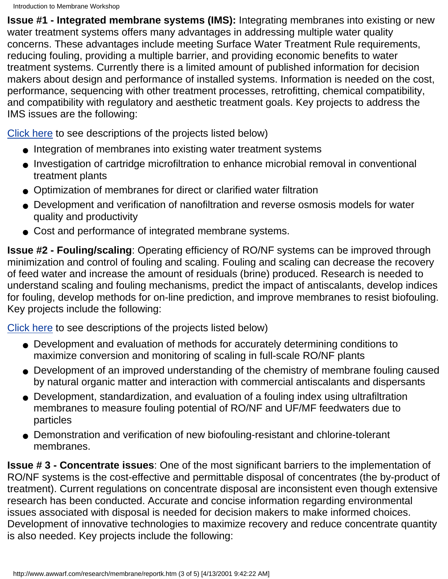**Issue #1 - Integrated membrane systems (IMS):** Integrating membranes into existing or new water treatment systems offers many advantages in addressing multiple water quality concerns. These advantages include meeting Surface Water Treatment Rule requirements, reducing fouling, providing a multiple barrier, and providing economic benefits to water treatment systems. Currently there is a limited amount of published information for decision makers about design and performance of installed systems. Information is needed on the cost, performance, sequencing with other treatment processes, retrofitting, chemical compatibility, and compatibility with regulatory and aesthetic treatment goals. Key projects to address the IMS issues are the following:

[Click here](#page-11-0) to see descriptions of the projects listed below)

- Integration of membranes into existing water treatment systems
- Investigation of cartridge microfiltration to enhance microbial removal in conventional treatment plants
- Optimization of membranes for direct or clarified water filtration
- Development and verification of nanofiltration and reverse osmosis models for water quality and productivity
- Cost and performance of integrated membrane systems.

**Issue #2 - Fouling/scaling**: Operating efficiency of RO/NF systems can be improved through minimization and control of fouling and scaling. Fouling and scaling can decrease the recovery of feed water and increase the amount of residuals (brine) produced. Research is needed to understand scaling and fouling mechanisms, predict the impact of antiscalants, develop indices for fouling, develop methods for on-line prediction, and improve membranes to resist biofouling. Key projects include the following:

[Click here](#page-33-0) to see descriptions of the projects listed below)

- Development and evaluation of methods for accurately determining conditions to maximize conversion and monitoring of scaling in full-scale RO/NF plants
- Development of an improved understanding of the chemistry of membrane fouling caused by natural organic matter and interaction with commercial antiscalants and dispersants
- Development, standardization, and evaluation of a fouling index using ultrafiltration membranes to measure fouling potential of RO/NF and UF/MF feedwaters due to particles
- Demonstration and verification of new biofouling-resistant and chlorine-tolerant membranes.

**Issue # 3 - Concentrate issues**: One of the most significant barriers to the implementation of RO/NF systems is the cost-effective and permittable disposal of concentrates (the by-product of treatment). Current regulations on concentrate disposal are inconsistent even though extensive research has been conducted. Accurate and concise information regarding environmental issues associated with disposal is needed for decision makers to make informed choices. Development of innovative technologies to maximize recovery and reduce concentrate quantity is also needed. Key projects include the following: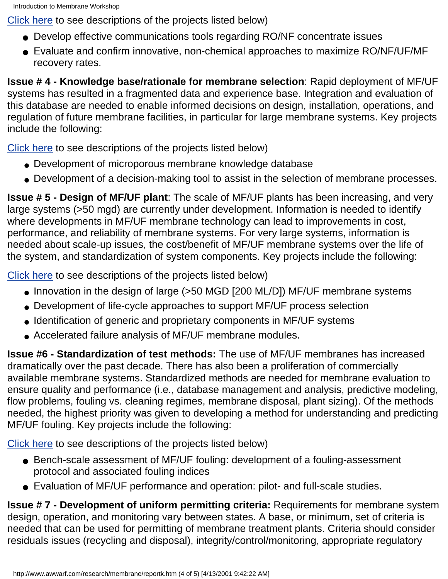[Click here](#page-28-0) to see descriptions of the projects listed below)

- Develop effective communications tools regarding RO/NF concentrate issues
- Evaluate and confirm innovative, non-chemical approaches to maximize RO/NF/UF/MF recovery rates.

**Issue # 4 - Knowledge base/rationale for membrane selection**: Rapid deployment of MF/UF systems has resulted in a fragmented data and experience base. Integration and evaluation of this database are needed to enable informed decisions on design, installation, operations, and regulation of future membrane facilities, in particular for large membrane systems. Key projects include the following:

[Click here](#page-19-0) to see descriptions of the projects listed below)

- Development of microporous membrane knowledge database
- Development of a decision-making tool to assist in the selection of membrane processes.

**Issue # 5 - Design of MF/UF plant**: The scale of MF/UF plants has been increasing, and very large systems (>50 mgd) are currently under development. Information is needed to identify where developments in MF/UF membrane technology can lead to improvements in cost, performance, and reliability of membrane systems. For very large systems, information is needed about scale-up issues, the cost/benefit of MF/UF membrane systems over the life of the system, and standardization of system components. Key projects include the following:

[Click here](#page-41-0) to see descriptions of the projects listed below)

- Innovation in the design of large (>50 MGD [200 ML/D]) MF/UF membrane systems
- Development of life-cycle approaches to support MF/UF process selection
- Identification of generic and proprietary components in MF/UF systems
- Accelerated failure analysis of MF/UF membrane modules.

**Issue #6 - Standardization of test methods:** The use of MF/UF membranes has increased dramatically over the past decade. There has also been a proliferation of commercially available membrane systems. Standardized methods are needed for membrane evaluation to ensure quality and performance (i.e., database management and analysis, predictive modeling, flow problems, fouling vs. cleaning regimes, membrane disposal, plant sizing). Of the methods needed, the highest priority was given to developing a method for understanding and predicting MF/UF fouling. Key projects include the following:

[Click here](#page-24-0) to see descriptions of the projects listed below)

- Bench-scale assessment of MF/UF fouling: development of a fouling-assessment protocol and associated fouling indices
- Evaluation of MF/UF performance and operation: pilot- and full-scale studies.

**Issue # 7 - Development of uniform permitting criteria:** Requirements for membrane system design, operation, and monitoring vary between states. A base, or minimum, set of criteria is needed that can be used for permitting of membrane treatment plants. Criteria should consider residuals issues (recycling and disposal), integrity/control/monitoring, appropriate regulatory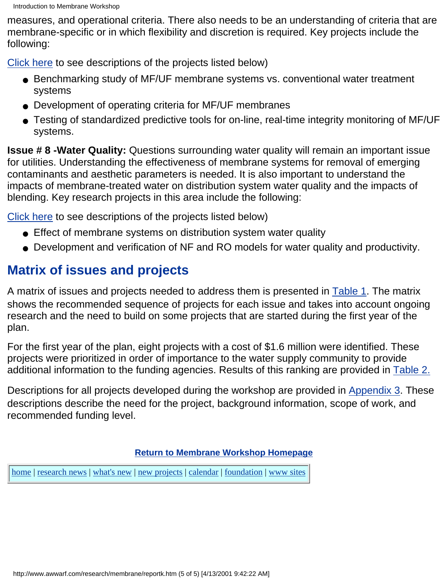measures, and operational criteria. There also needs to be an understanding of criteria that are membrane-specific or in which flexibility and discretion is required. Key projects include the following:

[Click here](#page-56-0) to see descriptions of the projects listed below)

- Benchmarking study of MF/UF membrane systems vs. conventional water treatment systems
- Development of operating criteria for MF/UF membranes
- Testing of standardized predictive tools for on-line, real-time integrity monitoring of MF/UF systems.

**Issue # 8 -Water Quality:** Questions surrounding water quality will remain an important issue for utilities. Understanding the effectiveness of membrane systems for removal of emerging contaminants and aesthetic parameters is needed. It is also important to understand the impacts of membrane-treated water on distribution system water quality and the impacts of blending. Key research projects in this area include the following:

[Click here](#page-62-0) to see descriptions of the projects listed below)

- Effect of membrane systems on distribution system water quality
- Development and verification of NF and RO models for water quality and productivity.

# **Matrix of issues and projects**

A matrix of issues and projects needed to address them is presented in [Table 1](#page-7-0). The matrix shows the recommended sequence of projects for each issue and takes into account ongoing research and the need to build on some projects that are started during the first year of the plan.

For the first year of the plan, eight projects with a cost of \$1.6 million were identified. These projects were prioritized in order of importance to the water supply community to provide additional information to the funding agencies. Results of this ranking are provided in [Table 2.](#page-10-0)

Descriptions for all projects developed during the workshop are provided in [Appendix 3.](#page-55-0) These descriptions describe the need for the project, background information, scope of work, and recommended funding level.

## **[Return to Membrane Workshop Homepage](#page-0-0)**

[home](http://www.awwarf.com/index.html) | [research news](http://www.awwarf.com/research.html) | [what's new](http://www.awwarf.com/whatsnew.html) | [new projects](http://www.awwarf.com/newprojects.html) | [calendar](http://www.awwarf.com/calendar.html) | [foundation](http://www.awwarf.com/meet/) | [www sites](http://www.awwarf.com/othersites.html)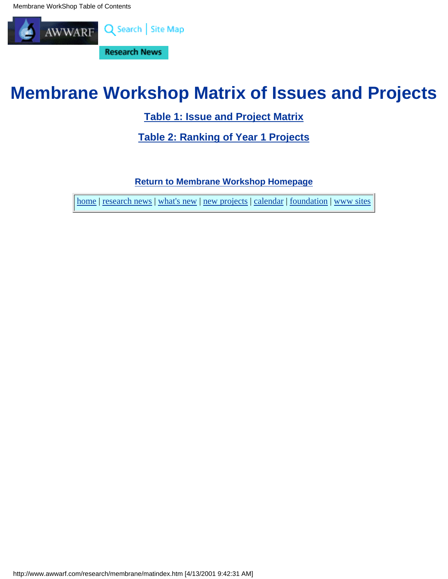<span id="page-6-0"></span>Membrane WorkShop Table of Contents



# **Membrane Workshop Matrix of Issues and Projects**

**[Table 1: Issue and Project Matrix](#page-7-0)**

**[Table 2: Ranking of Year 1 Projects](#page-10-0)**

**[Return to Membrane Workshop Homepage](#page-0-0)**

[home](http://www.awwarf.com/index.html) | [research news](http://www.awwarf.com/research.html) | [what's new](http://www.awwarf.com/whatsnew.html) | [new projects](http://www.awwarf.com/newprojects.html) | [calendar](http://www.awwarf.com/calendar.html) | [foundation](http://www.awwarf.com/meet/) | [www sites](http://www.awwarf.com/othersites.html)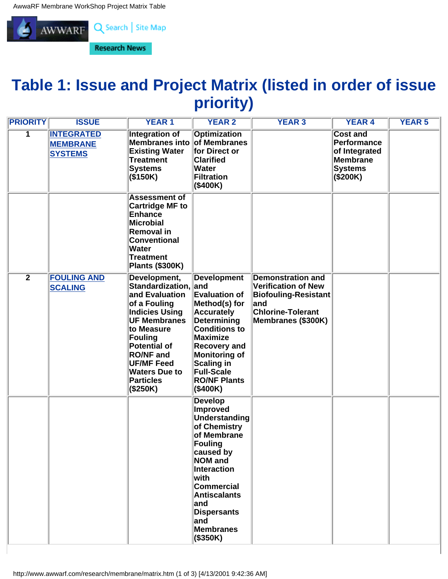<span id="page-7-0"></span>

# **Table 1: Issue and Project Matrix (listed in order of issue priority)**

| <b>PRIORITY</b> | <b>ISSUE</b>                                           | <b>YEAR1</b>                                                                                                                                                                                                                                                            | <b>YEAR 2</b>                                                                                                                                                                                                                                     | <b>YEAR 3</b>                                                                                                                           | <b>YEAR 4</b>                                                                                    | <b>YEAR 5</b> |
|-----------------|--------------------------------------------------------|-------------------------------------------------------------------------------------------------------------------------------------------------------------------------------------------------------------------------------------------------------------------------|---------------------------------------------------------------------------------------------------------------------------------------------------------------------------------------------------------------------------------------------------|-----------------------------------------------------------------------------------------------------------------------------------------|--------------------------------------------------------------------------------------------------|---------------|
| 1               | <b>INTEGRATED</b><br><b>MEMBRANE</b><br><b>SYSTEMS</b> | <b>Integration of</b><br>Membranes into of Membranes<br><b>Existing Water</b><br><b>Treatment</b><br><b>Systems</b><br>$($ \$150K)                                                                                                                                      | <b>Optimization</b><br>for Direct or<br><b>Clarified</b><br><b>Water</b><br>Filtration<br>(\$400K)                                                                                                                                                |                                                                                                                                         | <b>Cost and</b><br>Performance<br>of Integrated<br><b>Membrane</b><br><b>Systems</b><br>(\$200K) |               |
|                 |                                                        | <b>Assessment of</b><br><b>Cartridge MF to</b><br>Enhance<br><b>Microbial</b><br>Removal in<br><b>Conventional</b><br><b>Water</b><br>Treatment<br><b>Plants (\$300K)</b>                                                                                               |                                                                                                                                                                                                                                                   |                                                                                                                                         |                                                                                                  |               |
| $\overline{2}$  | <b>FOULING AND</b><br><b>SCALING</b>                   | Development,<br>Standardization, and<br>and Evaluation<br>of a Fouling<br><b>Indicies Using</b><br><b>UF Membranes</b><br>to Measure<br>Fouling<br><b>Potential of</b><br><b>RO/NF and</b><br><b>UF/MF Feed</b><br><b>Waters Due to</b><br><b>Particles</b><br>(\$250K) | <b>Development</b><br><b>Evaluation of</b><br>Method(s) for<br><b>Accurately</b><br>Determining<br><b>Conditions to</b><br>Maximize<br><b>Recovery and</b><br>Monitoring of<br>Scaling in<br><b>Full-Scale</b><br><b>RO/NF Plants</b><br>(\$400K) | <b>Demonstration and</b><br><b>Verification of New</b><br>Biofouling-Resistant<br>and<br><b>Chlorine-Tolerant</b><br>Membranes (\$300K) |                                                                                                  |               |
|                 |                                                        |                                                                                                                                                                                                                                                                         | <b>Develop</b><br>Improved<br>Understanding<br>of Chemistry<br>of Membrane<br>Fouling<br>caused by<br>NOM and<br>Interaction<br>with<br>Commercial<br><b>Antiscalants</b><br>∣and<br><b>Dispersants</b><br>∣and<br>Membranes<br>$($ \$350K)       |                                                                                                                                         |                                                                                                  |               |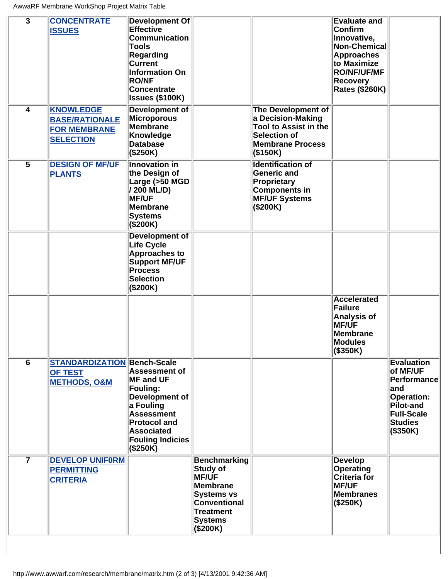| $\overline{\mathbf{3}}$ | <b>CONCENTRATE</b><br><b>ISSUES</b>                                                  | <b>Development Of</b><br><b>Effective</b><br><b>Communication</b><br>Tools<br><b>Regarding</b><br><b>Current</b><br><b>Information On</b><br><b>RO/NF</b><br><b>Concentrate</b><br><b>Issues (\$100K)</b> |                                                                                                                                             |                                                                                                                                             | <b>Evaluate and</b><br><b>Confirm</b><br>Innovative,<br>Non-Chemical<br>Approaches<br>to Maximize<br><b>RO/NF/UF/MF</b><br>Recovery<br><b>Rates (\$260K)</b> |                                                                                                                                                 |
|-------------------------|--------------------------------------------------------------------------------------|-----------------------------------------------------------------------------------------------------------------------------------------------------------------------------------------------------------|---------------------------------------------------------------------------------------------------------------------------------------------|---------------------------------------------------------------------------------------------------------------------------------------------|--------------------------------------------------------------------------------------------------------------------------------------------------------------|-------------------------------------------------------------------------------------------------------------------------------------------------|
| $\overline{4}$          | <b>KNOWLEDGE</b><br><b>BASE/RATIONALE</b><br><b>FOR MEMBRANE</b><br><b>SELECTION</b> | Development of<br>Microporous<br>Membrane<br>Knowledge<br><b>Database</b><br>(S250K)                                                                                                                      |                                                                                                                                             | <b>The Development of</b><br>a Decision-Making<br><b>Tool to Assist in the</b><br><b>Selection of</b><br><b>Membrane Process</b><br>(S150K) |                                                                                                                                                              |                                                                                                                                                 |
| $\overline{\bf{5}}$     | <b>DESIGN OF MF/UF</b><br><b>PLANTS</b>                                              | <b>Innovation in</b><br>the Design of<br>Large (>50 MGD<br>/ 200 ML/D)<br><b>MF/UF</b><br>Membrane<br><b>Systems</b><br>(\$200K)                                                                          |                                                                                                                                             | <b>Identification of</b><br><b>Generic and</b><br>Proprietary<br><b>Components in</b><br><b>MF/UF Systems</b><br>(\$200K)                   |                                                                                                                                                              |                                                                                                                                                 |
|                         |                                                                                      | <b>Development of</b><br><b>Life Cycle</b><br><b>Approaches to</b><br><b>Support MF/UF</b><br><b>Process</b><br><b>Selection</b><br>(\$200K)                                                              |                                                                                                                                             |                                                                                                                                             |                                                                                                                                                              |                                                                                                                                                 |
|                         |                                                                                      |                                                                                                                                                                                                           |                                                                                                                                             |                                                                                                                                             | <b>Accelerated</b><br>Failure<br>Analysis of<br><b>MF/UF</b><br>Membrane<br>Modules<br>$($ \$350K)                                                           |                                                                                                                                                 |
| $\overline{6}$          | <b>STANDARDIZATION Bench-Scale</b><br><b>OF TEST</b><br><b>METHODS, O&amp;M</b>      | <b>Assessment of</b><br><b>MF and UF</b><br><b>Fouling:</b><br>Development of<br>a Fouling<br><b>Assessment</b><br><b>Protocol and</b><br><b>Associated</b><br><b>Fouling Indicies</b><br>(S250K)         |                                                                                                                                             |                                                                                                                                             |                                                                                                                                                              | <b>Evaluation</b><br>of MF/UF<br>Performance<br>land<br><b>Operation:</b><br><b>Pilot-and</b><br><b>Full-Scale</b><br><b>Studies</b><br>(S350K) |
| $\overline{\mathbf{7}}$ | <b>DEVELOP UNIFORM</b><br><b>PERMITTING</b><br><b>CRITERIA</b>                       |                                                                                                                                                                                                           | <b>Benchmarking</b><br>Study of<br><b>MF/UF</b><br>Membrane<br><b>Systems vs</b><br>Conventional<br>Treatment<br><b>Systems</b><br>(\$200K) |                                                                                                                                             | <b>Develop</b><br><b>Operating</b><br><b>Criteria for</b><br><b>MF/UF</b><br><b>Membranes</b><br>$($ \$250K)                                                 |                                                                                                                                                 |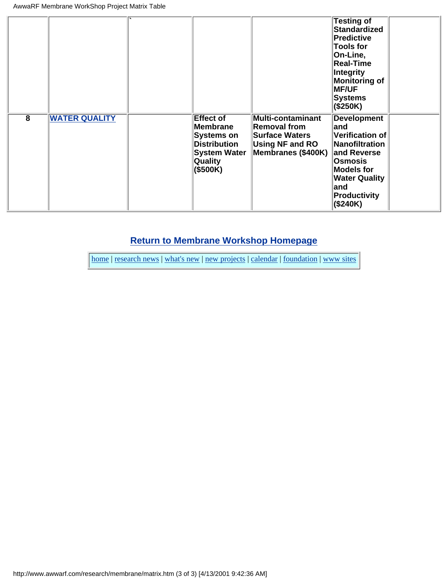|   |                      |                                                                                                                               |                                                                                                                          | <b>Testing of</b><br><b>Standardized</b><br>Predictive<br><b>Tools for</b><br>On-Line,<br><b>Real-Time</b><br>Integrity<br><b>Monitoring of</b><br><b>MF/UF</b><br>Systems<br>(\$250K) |  |
|---|----------------------|-------------------------------------------------------------------------------------------------------------------------------|--------------------------------------------------------------------------------------------------------------------------|----------------------------------------------------------------------------------------------------------------------------------------------------------------------------------------|--|
| 8 | <b>WATER QUALITY</b> | <b>Effect of</b><br>Membrane<br><b>Systems on</b><br><b>Distribution</b><br><b>System Water</b><br><b>Quality</b><br>(\$500K) | <b>Multi-contaminant</b><br><b>Removal from</b><br><b>Surface Waters</b><br><b>Using NF and RO</b><br>Membranes (\$400K) | <b>Development</b><br>∣and<br>Verification of<br>Nanofiltration<br>and Reverse<br>Osmosis<br><b>Models for</b><br><b>Water Quality</b><br>∣and<br>Productivity<br>(\$240K)             |  |

## **[Return to Membrane Workshop Homepage](#page-0-0)**

[home](http://www.awwarf.com/index.html) | [research news](http://www.awwarf.com/research.html) | [what's new](http://www.awwarf.com/whatsnew.html) | [new projects](http://www.awwarf.com/newprojects.html) | [calendar](http://www.awwarf.com/calendar.html) | [foundation](http://www.awwarf.com/meet/) | [www sites](http://www.awwarf.com/othersites.html)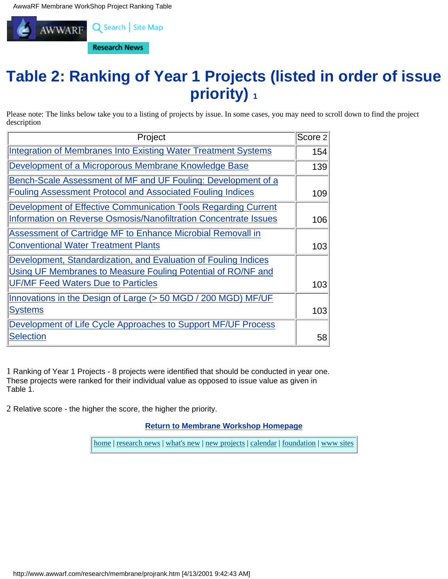<span id="page-10-0"></span>

# **Table 2: Ranking of Year 1 Projects (listed in order of issue priority) 1**

Please note: The links below take you to a listing of projects by issue. In some cases, you may need to scroll down to find the project description

| Project                                                               | Score 2 |
|-----------------------------------------------------------------------|---------|
| <b>Integration of Membranes Into Existing Water Treatment Systems</b> | 154     |
| Development of a Microporous Membrane Knowledge Base                  | 139     |
| Bench-Scale Assessment of MF and UF Fouling: Development of a         |         |
| <b>Fouling Assessment Protocol and Associated Fouling Indices</b>     | 109     |
| Development of Effective Communication Tools Regarding Current        |         |
| Information on Reverse Osmosis/Nanofiltration Concentrate Issues      | 106     |
| Assessment of Cartridge MF to Enhance Microbial Removall in           |         |
| <b>Conventional Water Treatment Plants</b>                            | 103     |
| Development, Standardization, and Evaluation of Fouling Indices       |         |
| Using UF Membranes to Measure Fouling Potential of RO/NF and          |         |
| <b>UF/MF Feed Waters Due to Particles</b>                             | 103     |
| Innovations in the Design of Large (> 50 MGD / 200 MGD) MF/UF         |         |
| <b>Systems</b>                                                        | 103     |
| Development of Life Cycle Approaches to Support MF/UF Process         |         |
| <b>Selection</b>                                                      | 58      |

1 Ranking of Year 1 Projects - 8 projects were identified that should be conducted in year one. These projects were ranked for their individual value as opposed to issue value as given in Table 1.

2 Relative score - the higher the score, the higher the priority.

**[Return to Membrane Workshop Homepage](#page-0-0)**

[home](http://www.awwarf.com/index.html) | [research news](http://www.awwarf.com/research.html) | [what's new](http://www.awwarf.com/whatsnew.html) | [new projects](http://www.awwarf.com/newprojects.html) | [calendar](http://www.awwarf.com/calendar.html) | [foundation](http://www.awwarf.com/meet/) | [www sites](http://www.awwarf.com/othersites.html)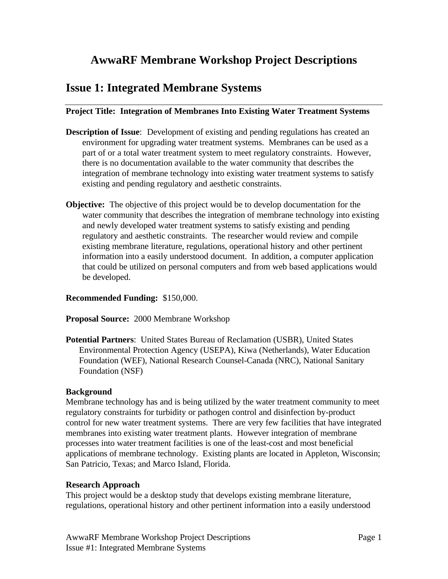## <span id="page-11-0"></span>**AwwaRF Membrane Workshop Project Descriptions**

## **Issue 1: Integrated Membrane Systems**

## **Project Title: Integration of Membranes Into Existing Water Treatment Systems**

- **Description of Issue**: Development of existing and pending regulations has created an environment for upgrading water treatment systems. Membranes can be used as a part of or a total water treatment system to meet regulatory constraints. However, there is no documentation available to the water community that describes the integration of membrane technology into existing water treatment systems to satisfy existing and pending regulatory and aesthetic constraints.
- **Objective:** The objective of this project would be to develop documentation for the water community that describes the integration of membrane technology into existing and newly developed water treatment systems to satisfy existing and pending regulatory and aesthetic constraints. The researcher would review and compile existing membrane literature, regulations, operational history and other pertinent information into a easily understood document. In addition, a computer application that could be utilized on personal computers and from web based applications would be developed.

### **Recommended Funding:** \$150,000.

### **Proposal Source:** 2000 Membrane Workshop

**Potential Partners**: United States Bureau of Reclamation (USBR), United States Environmental Protection Agency (USEPA), Kiwa (Netherlands), Water Education Foundation (WEF), National Research Counsel-Canada (NRC), National Sanitary Foundation (NSF)

### **Background**

Membrane technology has and is being utilized by the water treatment community to meet regulatory constraints for turbidity or pathogen control and disinfection by-product control for new water treatment systems. There are very few facilities that have integrated membranes into existing water treatment plants. However integration of membrane processes into water treatment facilities is one of the least-cost and most beneficial applications of membrane technology. Existing plants are located in Appleton, Wisconsin; San Patricio, Texas; and Marco Island, Florida.

### **Research Approach**

This project would be a desktop study that develops existing membrane literature, regulations, operational history and other pertinent information into a easily understood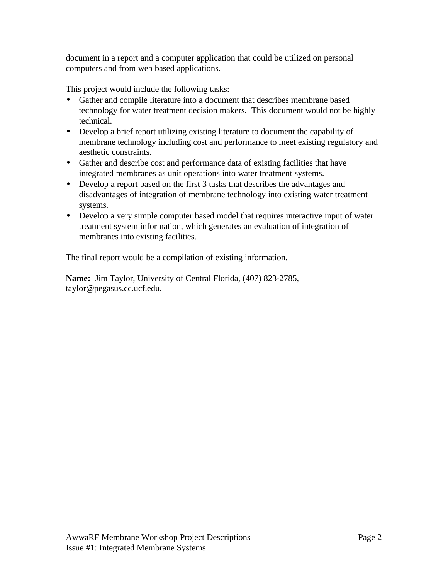document in a report and a computer application that could be utilized on personal computers and from web based applications.

This project would include the following tasks:

- Gather and compile literature into a document that describes membrane based technology for water treatment decision makers. This document would not be highly technical.
- Develop a brief report utilizing existing literature to document the capability of membrane technology including cost and performance to meet existing regulatory and aesthetic constraints.
- Gather and describe cost and performance data of existing facilities that have integrated membranes as unit operations into water treatment systems.
- Develop a report based on the first 3 tasks that describes the advantages and disadvantages of integration of membrane technology into existing water treatment systems.
- Develop a very simple computer based model that requires interactive input of water treatment system information, which generates an evaluation of integration of membranes into existing facilities.

The final report would be a compilation of existing information.

**Name:** Jim Taylor, University of Central Florida, (407) 823-2785, taylor@pegasus.cc.ucf.edu.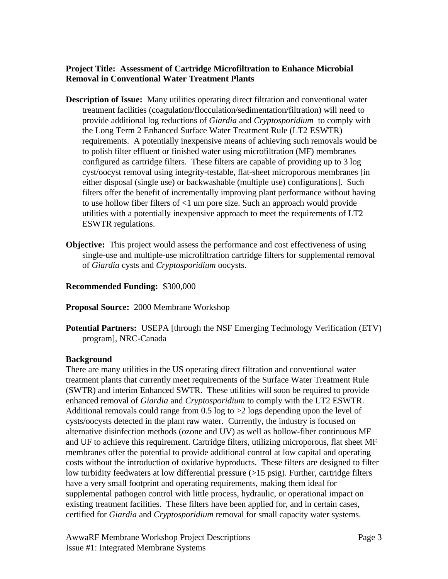## **Project Title: Assessment of Cartridge Microfiltration to Enhance Microbial Removal in Conventional Water Treatment Plants**

- **Description of Issue:** Many utilities operating direct filtration and conventional water treatment facilities (coagulation/flocculation/sedimentation/filtration) will need to provide additional log reductions of *Giardia* and *Cryptosporidium* to comply with the Long Term 2 Enhanced Surface Water Treatment Rule (LT2 ESWTR) requirements. A potentially inexpensive means of achieving such removals would be to polish filter effluent or finished water using microfiltration (MF) membranes configured as cartridge filters. These filters are capable of providing up to 3 log cyst/oocyst removal using integrity-testable, flat-sheet microporous membranes [in either disposal (single use) or backwashable (multiple use) configurations]. Such filters offer the benefit of incrementally improving plant performance without having to use hollow fiber filters of <1 um pore size. Such an approach would provide utilities with a potentially inexpensive approach to meet the requirements of LT2 ESWTR regulations.
- **Objective:** This project would assess the performance and cost effectiveness of using single-use and multiple-use microfiltration cartridge filters for supplemental removal of *Giardia* cysts and *Cryptosporidium* oocysts.

### **Recommended Funding:** \$300,000

### **Proposal Source:** 2000 Membrane Workshop

**Potential Partners:** USEPA [through the NSF Emerging Technology Verification (ETV) program], NRC-Canada

### **Background**

There are many utilities in the US operating direct filtration and conventional water treatment plants that currently meet requirements of the Surface Water Treatment Rule (SWTR) and interim Enhanced SWTR. These utilities will soon be required to provide enhanced removal of *Giardia* and *Cryptosporidium* to comply with the LT2 ESWTR. Additional removals could range from 0.5 log to  $>2$  logs depending upon the level of cysts/oocysts detected in the plant raw water. Currently, the industry is focused on alternative disinfection methods (ozone and UV) as well as hollow-fiber continuous MF and UF to achieve this requirement. Cartridge filters, utilizing microporous, flat sheet MF membranes offer the potential to provide additional control at low capital and operating costs without the introduction of oxidative byproducts. These filters are designed to filter low turbidity feedwaters at low differential pressure (>15 psig). Further, cartridge filters have a very small footprint and operating requirements, making them ideal for supplemental pathogen control with little process, hydraulic, or operational impact on existing treatment facilities. These filters have been applied for, and in certain cases, certified for *Giardia* and *Cryptosporidium* removal for small capacity water systems.

AwwaRF Membrane Workshop Project Descriptions Page 3 Issue #1: Integrated Membrane Systems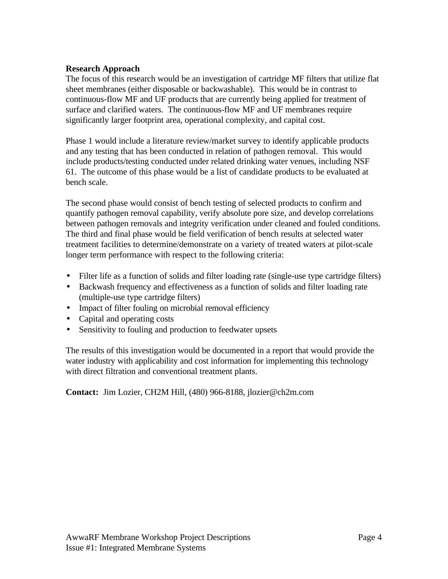## **Research Approach**

The focus of this research would be an investigation of cartridge MF filters that utilize flat sheet membranes (either disposable or backwashable). This would be in contrast to continuous-flow MF and UF products that are currently being applied for treatment of surface and clarified waters. The continuous-flow MF and UF membranes require significantly larger footprint area, operational complexity, and capital cost.

Phase 1 would include a literature review/market survey to identify applicable products and any testing that has been conducted in relation of pathogen removal. This would include products/testing conducted under related drinking water venues, including NSF 61. The outcome of this phase would be a list of candidate products to be evaluated at bench scale.

The second phase would consist of bench testing of selected products to confirm and quantify pathogen removal capability, verify absolute pore size, and develop correlations between pathogen removals and integrity verification under cleaned and fouled conditions. The third and final phase would be field verification of bench results at selected water treatment facilities to determine/demonstrate on a variety of treated waters at pilot-scale longer term performance with respect to the following criteria:

- Filter life as a function of solids and filter loading rate (single-use type cartridge filters)
- Backwash frequency and effectiveness as a function of solids and filter loading rate (multiple-use type cartridge filters)
- Impact of filter fouling on microbial removal efficiency
- Capital and operating costs
- Sensitivity to fouling and production to feedwater upsets

The results of this investigation would be documented in a report that would provide the water industry with applicability and cost information for implementing this technology with direct filtration and conventional treatment plants.

**Contact:** Jim Lozier, CH2M Hill, (480) 966-8188, jlozier@ch2m.com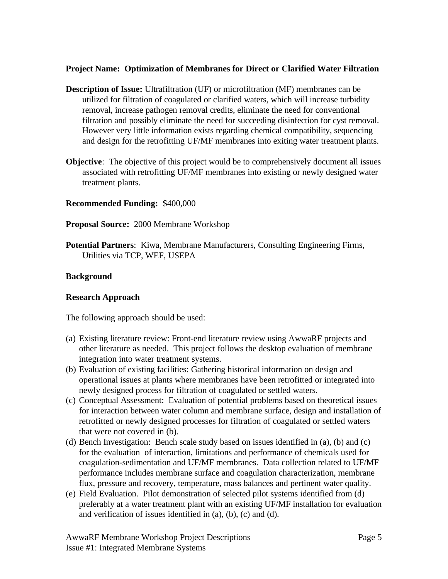## **Project Name: Optimization of Membranes for Direct or Clarified Water Filtration**

- **Description of Issue:** Ultrafiltration (UF) or microfiltration (MF) membranes can be utilized for filtration of coagulated or clarified waters, which will increase turbidity removal, increase pathogen removal credits, eliminate the need for conventional filtration and possibly eliminate the need for succeeding disinfection for cyst removal. However very little information exists regarding chemical compatibility, sequencing and design for the retrofitting UF/MF membranes into exiting water treatment plants.
- **Objective**: The objective of this project would be to comprehensively document all issues associated with retrofitting UF/MF membranes into existing or newly designed water treatment plants.

## **Recommended Funding:** \$400,000

- **Proposal Source:** 2000 Membrane Workshop
- **Potential Partners**: Kiwa, Membrane Manufacturers, Consulting Engineering Firms, Utilities via TCP, WEF, USEPA

### **Background**

### **Research Approach**

The following approach should be used:

- (a) Existing literature review: Front-end literature review using AwwaRF projects and other literature as needed. This project follows the desktop evaluation of membrane integration into water treatment systems.
- (b) Evaluation of existing facilities: Gathering historical information on design and operational issues at plants where membranes have been retrofitted or integrated into newly designed process for filtration of coagulated or settled waters.
- (c) Conceptual Assessment: Evaluation of potential problems based on theoretical issues for interaction between water column and membrane surface, design and installation of retrofitted or newly designed processes for filtration of coagulated or settled waters that were not covered in (b).
- (d) Bench Investigation: Bench scale study based on issues identified in (a), (b) and (c) for the evaluation of interaction, limitations and performance of chemicals used for coagulation-sedimentation and UF/MF membranes. Data collection related to UF/MF performance includes membrane surface and coagulation characterization, membrane flux, pressure and recovery, temperature, mass balances and pertinent water quality.
- (e) Field Evaluation. Pilot demonstration of selected pilot systems identified from (d) preferably at a water treatment plant with an existing UF/MF installation for evaluation and verification of issues identified in (a), (b), (c) and (d).

AwwaRF Membrane Workshop Project Descriptions Page 5 Issue #1: Integrated Membrane Systems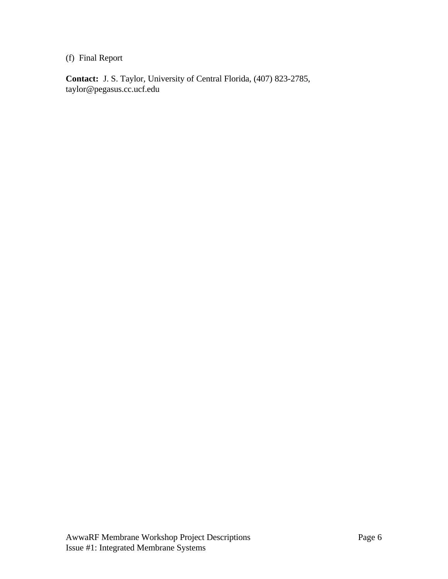## (f) Final Report

**Contact:** J. S. Taylor, University of Central Florida, (407) 823-2785, taylor@pegasus.cc.ucf.edu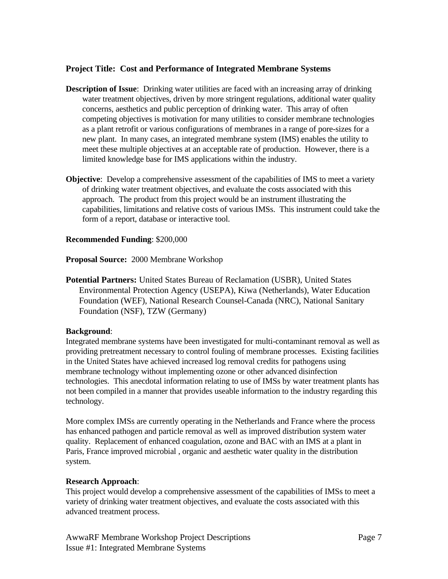## **Project Title: Cost and Performance of Integrated Membrane Systems**

- **Description of Issue**: Drinking water utilities are faced with an increasing array of drinking water treatment objectives, driven by more stringent regulations, additional water quality concerns, aesthetics and public perception of drinking water. This array of often competing objectives is motivation for many utilities to consider membrane technologies as a plant retrofit or various configurations of membranes in a range of pore-sizes for a new plant. In many cases, an integrated membrane system (IMS) enables the utility to meet these multiple objectives at an acceptable rate of production. However, there is a limited knowledge base for IMS applications within the industry.
- **Objective**: Develop a comprehensive assessment of the capabilities of IMS to meet a variety of drinking water treatment objectives, and evaluate the costs associated with this approach. The product from this project would be an instrument illustrating the capabilities, limitations and relative costs of various IMSs. This instrument could take the form of a report, database or interactive tool.

### **Recommended Funding**: \$200,000

**Proposal Source:** 2000 Membrane Workshop

**Potential Partners:** United States Bureau of Reclamation (USBR), United States Environmental Protection Agency (USEPA), Kiwa (Netherlands), Water Education Foundation (WEF), National Research Counsel-Canada (NRC), National Sanitary Foundation (NSF), TZW (Germany)

#### **Background**:

Integrated membrane systems have been investigated for multi-contaminant removal as well as providing pretreatment necessary to control fouling of membrane processes. Existing facilities in the United States have achieved increased log removal credits for pathogens using membrane technology without implementing ozone or other advanced disinfection technologies. This anecdotal information relating to use of IMSs by water treatment plants has not been compiled in a manner that provides useable information to the industry regarding this technology.

More complex IMSs are currently operating in the Netherlands and France where the process has enhanced pathogen and particle removal as well as improved distribution system water quality. Replacement of enhanced coagulation, ozone and BAC with an IMS at a plant in Paris, France improved microbial , organic and aesthetic water quality in the distribution system.

#### **Research Approach**:

This project would develop a comprehensive assessment of the capabilities of IMSs to meet a variety of drinking water treatment objectives, and evaluate the costs associated with this advanced treatment process.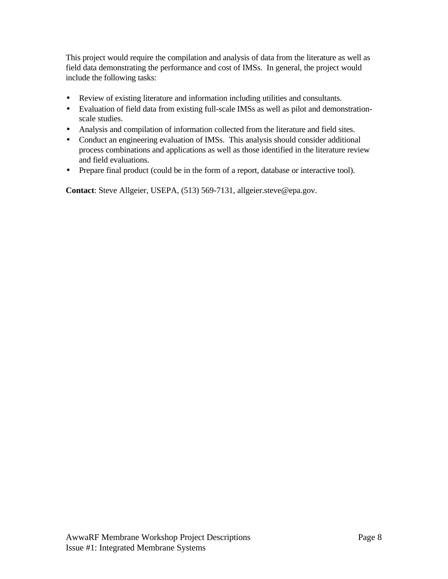This project would require the compilation and analysis of data from the literature as well as field data demonstrating the performance and cost of IMSs. In general, the project would include the following tasks:

- Review of existing literature and information including utilities and consultants.
- Evaluation of field data from existing full-scale IMSs as well as pilot and demonstrationscale studies.
- Analysis and compilation of information collected from the literature and field sites.
- Conduct an engineering evaluation of IMSs. This analysis should consider additional process combinations and applications as well as those identified in the literature review and field evaluations.
- Prepare final product (could be in the form of a report, database or interactive tool).

**Contact**: Steve Allgeier, USEPA, (513) 569-7131, allgeier.steve@epa.gov.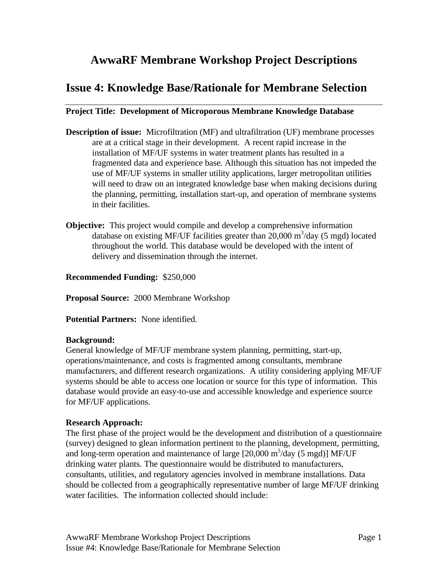## <span id="page-19-0"></span>**AwwaRF Membrane Workshop Project Descriptions**

## **Issue 4: Knowledge Base/Rationale for Membrane Selection**

## **Project Title: Development of Microporous Membrane Knowledge Database**

- **Description of issue:** Microfiltration (MF) and ultrafiltration (UF) membrane processes are at a critical stage in their development. A recent rapid increase in the installation of MF/UF systems in water treatment plants has resulted in a fragmented data and experience base. Although this situation has not impeded the use of MF/UF systems in smaller utility applications, larger metropolitan utilities will need to draw on an integrated knowledge base when making decisions during the planning, permitting, installation start-up, and operation of membrane systems in their facilities.
- **Objective:** This project would compile and develop a comprehensive information database on existing MF/UF facilities greater than  $20,000 \text{ m}^3/\text{day}$  (5 mgd) located throughout the world. This database would be developed with the intent of delivery and dissemination through the internet.

## **Recommended Funding:** \$250,000

**Proposal Source:** 2000 Membrane Workshop

**Potential Partners:** None identified.

### **Background:**

General knowledge of MF/UF membrane system planning, permitting, start-up, operations/maintenance, and costs is fragmented among consultants, membrane manufacturers, and different research organizations. A utility considering applying MF/UF systems should be able to access one location or source for this type of information. This database would provide an easy-to-use and accessible knowledge and experience source for MF/UF applications.

## **Research Approach:**

The first phase of the project would be the development and distribution of a questionnaire (survey) designed to glean information pertinent to the planning, development, permitting, and long-term operation and maintenance of large  $[20,000 \text{ m}^3/\text{day}$  (5 mgd)] MF/UF drinking water plants. The questionnaire would be distributed to manufacturers, consultants, utilities, and regulatory agencies involved in membrane installations. Data should be collected from a geographically representative number of large MF/UF drinking water facilities. The information collected should include: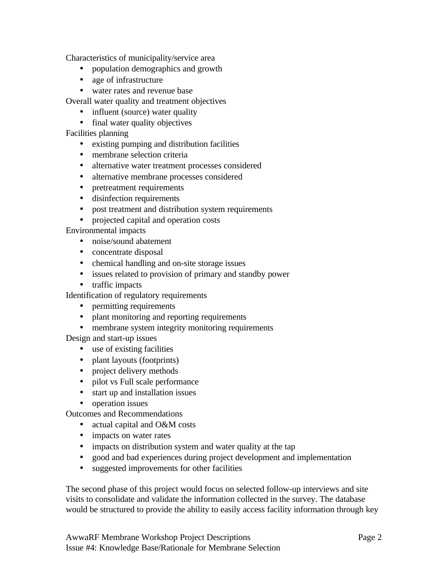Characteristics of municipality/service area

- population demographics and growth
- age of infrastructure
- water rates and revenue base

Overall water quality and treatment objectives

- influent (source) water quality
- final water quality objectives

Facilities planning

- existing pumping and distribution facilities
- membrane selection criteria
- alternative water treatment processes considered
- alternative membrane processes considered
- pretreatment requirements
- disinfection requirements
- post treatment and distribution system requirements
- projected capital and operation costs

Environmental impacts

- noise/sound abatement
- concentrate disposal
- chemical handling and on-site storage issues
- issues related to provision of primary and standby power
- traffic impacts

Identification of regulatory requirements

- permitting requirements
- plant monitoring and reporting requirements
- membrane system integrity monitoring requirements

Design and start-up issues

- use of existing facilities
- plant layouts (footprints)
- project delivery methods
- pilot vs Full scale performance
- start up and installation issues
- operation issues

Outcomes and Recommendations

- actual capital and O&M costs
- impacts on water rates
- impacts on distribution system and water quality at the tap
- good and bad experiences during project development and implementation
- suggested improvements for other facilities

The second phase of this project would focus on selected follow-up interviews and site visits to consolidate and validate the information collected in the survey. The database would be structured to provide the ability to easily access facility information through key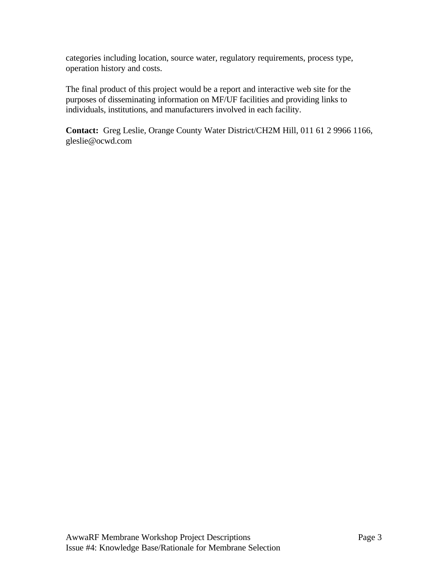categories including location, source water, regulatory requirements, process type, operation history and costs.

The final product of this project would be a report and interactive web site for the purposes of disseminating information on MF/UF facilities and providing links to individuals, institutions, and manufacturers involved in each facility.

**Contact:** Greg Leslie, Orange County Water District/CH2M Hill, 011 61 2 9966 1166, gleslie@ocwd.com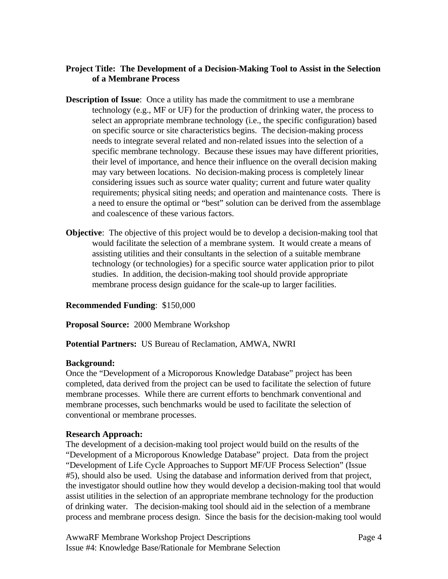## **Project Title: The Development of a Decision-Making Tool to Assist in the Selection of a Membrane Process**

- **Description of Issue**: Once a utility has made the commitment to use a membrane technology (e.g., MF or UF) for the production of drinking water, the process to select an appropriate membrane technology (i.e., the specific configuration) based on specific source or site characteristics begins. The decision-making process needs to integrate several related and non-related issues into the selection of a specific membrane technology. Because these issues may have different priorities, their level of importance, and hence their influence on the overall decision making may vary between locations. No decision-making process is completely linear considering issues such as source water quality; current and future water quality requirements; physical siting needs; and operation and maintenance costs. There is a need to ensure the optimal or "best" solution can be derived from the assemblage and coalescence of these various factors.
- **Objective**: The objective of this project would be to develop a decision-making tool that would facilitate the selection of a membrane system. It would create a means of assisting utilities and their consultants in the selection of a suitable membrane technology (or technologies) for a specific source water application prior to pilot studies. In addition, the decision-making tool should provide appropriate membrane process design guidance for the scale-up to larger facilities.

### **Recommended Funding**: \$150,000

**Proposal Source:** 2000 Membrane Workshop

**Potential Partners:** US Bureau of Reclamation, AMWA, NWRI

### **Background:**

Once the "Development of a Microporous Knowledge Database" project has been completed, data derived from the project can be used to facilitate the selection of future membrane processes. While there are current efforts to benchmark conventional and membrane processes, such benchmarks would be used to facilitate the selection of conventional or membrane processes.

### **Research Approach:**

The development of a decision-making tool project would build on the results of the "Development of a Microporous Knowledge Database" project. Data from the project "Development of Life Cycle Approaches to Support MF/UF Process Selection" (Issue #5), should also be used. Using the database and information derived from that project, the investigator should outline how they would develop a decision-making tool that would assist utilities in the selection of an appropriate membrane technology for the production of drinking water. The decision-making tool should aid in the selection of a membrane process and membrane process design. Since the basis for the decision-making tool would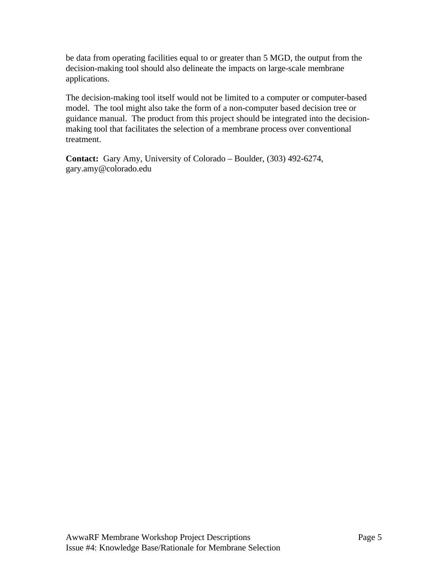be data from operating facilities equal to or greater than 5 MGD, the output from the decision-making tool should also delineate the impacts on large-scale membrane applications.

The decision-making tool itself would not be limited to a computer or computer-based model. The tool might also take the form of a non-computer based decision tree or guidance manual. The product from this project should be integrated into the decisionmaking tool that facilitates the selection of a membrane process over conventional treatment.

**Contact:** Gary Amy, University of Colorado – Boulder, (303) 492-6274, gary.amy@colorado.edu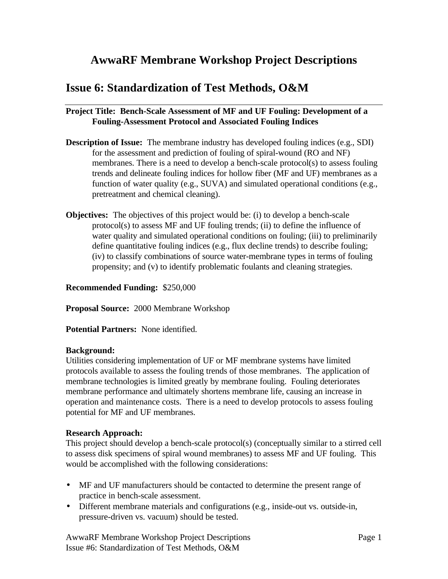## <span id="page-24-0"></span>**AwwaRF Membrane Workshop Project Descriptions**

## **Issue 6: Standardization of Test Methods, O&M**

## **Project Title: Bench-Scale Assessment of MF and UF Fouling: Development of a Fouling-Assessment Protocol and Associated Fouling Indices**

- **Description of Issue:** The membrane industry has developed fouling indices (e.g., SDI) for the assessment and prediction of fouling of spiral-wound (RO and NF) membranes. There is a need to develop a bench-scale protocol(s) to assess fouling trends and delineate fouling indices for hollow fiber (MF and UF) membranes as a function of water quality (e.g., SUVA) and simulated operational conditions (e.g., pretreatment and chemical cleaning).
- **Objectives:** The objectives of this project would be: (i) to develop a bench-scale protocol(s) to assess MF and UF fouling trends; (ii) to define the influence of water quality and simulated operational conditions on fouling; (iii) to preliminarily define quantitative fouling indices (e.g., flux decline trends) to describe fouling; (iv) to classify combinations of source water-membrane types in terms of fouling propensity; and (v) to identify problematic foulants and cleaning strategies.

**Recommended Funding:** \$250,000

**Proposal Source:** 2000 Membrane Workshop

**Potential Partners:** None identified.

### **Background:**

Utilities considering implementation of UF or MF membrane systems have limited protocols available to assess the fouling trends of those membranes. The application of membrane technologies is limited greatly by membrane fouling. Fouling deteriorates membrane performance and ultimately shortens membrane life, causing an increase in operation and maintenance costs. There is a need to develop protocols to assess fouling potential for MF and UF membranes.

## **Research Approach:**

This project should develop a bench-scale protocol(s) (conceptually similar to a stirred cell to assess disk specimens of spiral wound membranes) to assess MF and UF fouling. This would be accomplished with the following considerations:

- MF and UF manufacturers should be contacted to determine the present range of practice in bench-scale assessment.
- Different membrane materials and configurations (e.g., inside-out vs. outside-in, pressure-driven vs. vacuum) should be tested.

AwwaRF Membrane Workshop Project Descriptions Page 1 Issue #6: Standardization of Test Methods, O&M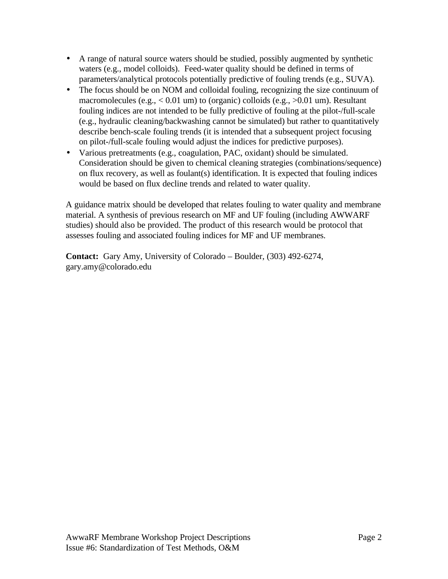- A range of natural source waters should be studied, possibly augmented by synthetic waters (e.g., model colloids). Feed-water quality should be defined in terms of parameters/analytical protocols potentially predictive of fouling trends (e.g., SUVA).
- The focus should be on NOM and colloidal fouling, recognizing the size continuum of macromolecules (e.g., < 0.01 um) to (organic) colloids (e.g., >0.01 um). Resultant fouling indices are not intended to be fully predictive of fouling at the pilot-/full-scale (e.g., hydraulic cleaning/backwashing cannot be simulated) but rather to quantitatively describe bench-scale fouling trends (it is intended that a subsequent project focusing on pilot-/full-scale fouling would adjust the indices for predictive purposes).
- Various pretreatments (e.g., coagulation, PAC, oxidant) should be simulated. Consideration should be given to chemical cleaning strategies (combinations/sequence) on flux recovery, as well as foulant(s) identification. It is expected that fouling indices would be based on flux decline trends and related to water quality.

A guidance matrix should be developed that relates fouling to water quality and membrane material. A synthesis of previous research on MF and UF fouling (including AWWARF studies) should also be provided. The product of this research would be protocol that assesses fouling and associated fouling indices for MF and UF membranes.

**Contact:** Gary Amy, University of Colorado – Boulder, (303) 492-6274, gary.amy@colorado.edu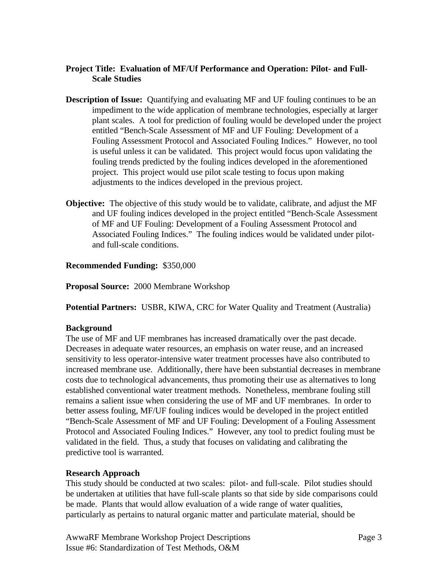## **Project Title: Evaluation of MF/Uf Performance and Operation: Pilot- and Full-Scale Studies**

- **Description of Issue:** Quantifying and evaluating MF and UF fouling continues to be an impediment to the wide application of membrane technologies, especially at larger plant scales. A tool for prediction of fouling would be developed under the project entitled "Bench-Scale Assessment of MF and UF Fouling: Development of a Fouling Assessment Protocol and Associated Fouling Indices." However, no tool is useful unless it can be validated. This project would focus upon validating the fouling trends predicted by the fouling indices developed in the aforementioned project. This project would use pilot scale testing to focus upon making adjustments to the indices developed in the previous project.
- **Objective:** The objective of this study would be to validate, calibrate, and adjust the MF and UF fouling indices developed in the project entitled "Bench-Scale Assessment of MF and UF Fouling: Development of a Fouling Assessment Protocol and Associated Fouling Indices." The fouling indices would be validated under pilotand full-scale conditions.

## **Recommended Funding:** \$350,000

**Proposal Source:** 2000 Membrane Workshop

**Potential Partners:** USBR, KIWA, CRC for Water Quality and Treatment (Australia)

## **Background**

The use of MF and UF membranes has increased dramatically over the past decade. Decreases in adequate water resources, an emphasis on water reuse, and an increased sensitivity to less operator-intensive water treatment processes have also contributed to increased membrane use. Additionally, there have been substantial decreases in membrane costs due to technological advancements, thus promoting their use as alternatives to long established conventional water treatment methods. Nonetheless, membrane fouling still remains a salient issue when considering the use of MF and UF membranes. In order to better assess fouling, MF/UF fouling indices would be developed in the project entitled "Bench-Scale Assessment of MF and UF Fouling: Development of a Fouling Assessment Protocol and Associated Fouling Indices." However, any tool to predict fouling must be validated in the field. Thus, a study that focuses on validating and calibrating the predictive tool is warranted.

## **Research Approach**

This study should be conducted at two scales: pilot- and full-scale. Pilot studies should be undertaken at utilities that have full-scale plants so that side by side comparisons could be made. Plants that would allow evaluation of a wide range of water qualities, particularly as pertains to natural organic matter and particulate material, should be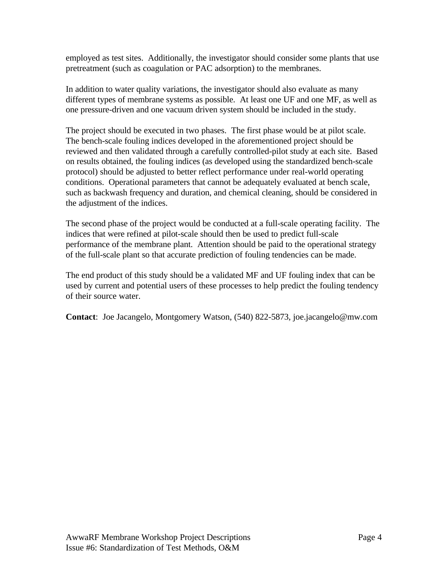employed as test sites. Additionally, the investigator should consider some plants that use pretreatment (such as coagulation or PAC adsorption) to the membranes.

In addition to water quality variations, the investigator should also evaluate as many different types of membrane systems as possible. At least one UF and one MF, as well as one pressure-driven and one vacuum driven system should be included in the study.

The project should be executed in two phases. The first phase would be at pilot scale. The bench-scale fouling indices developed in the aforementioned project should be reviewed and then validated through a carefully controlled-pilot study at each site. Based on results obtained, the fouling indices (as developed using the standardized bench-scale protocol) should be adjusted to better reflect performance under real-world operating conditions. Operational parameters that cannot be adequately evaluated at bench scale, such as backwash frequency and duration, and chemical cleaning, should be considered in the adjustment of the indices.

The second phase of the project would be conducted at a full-scale operating facility. The indices that were refined at pilot-scale should then be used to predict full-scale performance of the membrane plant. Attention should be paid to the operational strategy of the full-scale plant so that accurate prediction of fouling tendencies can be made.

The end product of this study should be a validated MF and UF fouling index that can be used by current and potential users of these processes to help predict the fouling tendency of their source water.

**Contact**: Joe Jacangelo, Montgomery Watson, (540) 822-5873, joe.jacangelo@mw.com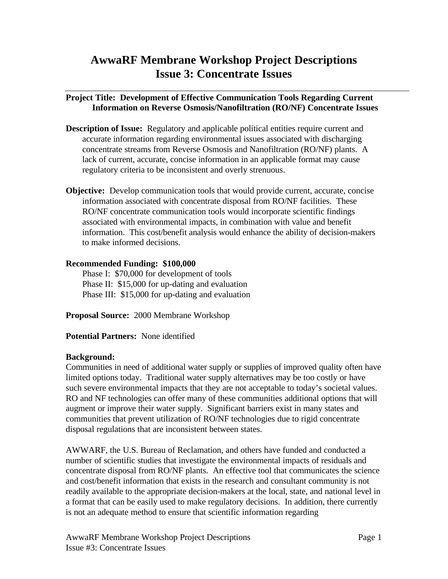## <span id="page-28-0"></span>**AwwaRF Membrane Workshop Project Descriptions Issue 3: Concentrate Issues**

## **Project Title: Development of Effective Communication Tools Regarding Current Information on Reverse Osmosis/Nanofiltration (RO/NF) Concentrate Issues**

- **Description of Issue:** Regulatory and applicable political entities require current and accurate information regarding environmental issues associated with discharging concentrate streams from Reverse Osmosis and Nanofiltration (RO/NF) plants. A lack of current, accurate, concise information in an applicable format may cause regulatory criteria to be inconsistent and overly strenuous.
- **Objective:** Develop communication tools that would provide current, accurate, concise information associated with concentrate disposal from RO/NF facilities. These RO/NF concentrate communication tools would incorporate scientific findings associated with environmental impacts, in combination with value and benefit information. This cost/benefit analysis would enhance the ability of decision-makers to make informed decisions.

## **Recommended Funding: \$100,000**

Phase I: \$70,000 for development of tools Phase II: \$15,000 for up-dating and evaluation Phase III: \$15,000 for up-dating and evaluation

**Proposal Source:** 2000 Membrane Workshop

**Potential Partners:** None identified

## **Background:**

Communities in need of additional water supply or supplies of improved quality often have limited options today. Traditional water supply alternatives may be too costly or have such severe environmental impacts that they are not acceptable to today's societal values. RO and NF technologies can offer many of these communities additional options that will augment or improve their water supply. Significant barriers exist in many states and communities that prevent utilization of RO/NF technologies due to rigid concentrate disposal regulations that are inconsistent between states.

AWWARF, the U.S. Bureau of Reclamation, and others have funded and conducted a number of scientific studies that investigate the environmental impacts of residuals and concentrate disposal from RO/NF plants. An effective tool that communicates the science and cost/benefit information that exists in the research and consultant community is not readily available to the appropriate decision-makers at the local, state, and national level in a format that can be easily used to make regulatory decisions. In addition, there currently is not an adequate method to ensure that scientific information regarding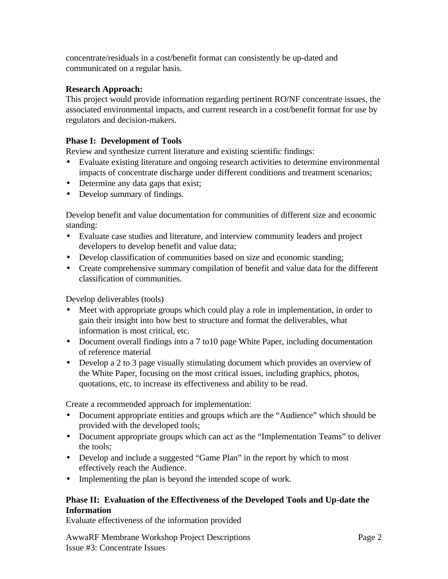concentrate/residuals in a cost/benefit format can consistently be up-dated and communicated on a regular basis.

## **Research Approach:**

This project would provide information regarding pertinent RO/NF concentrate issues, the associated environmental impacts, and current research in a cost/benefit format for use by regulators and decision-makers.

## **Phase I: Development of Tools**

Review and synthesize current literature and existing scientific findings:

- Evaluate existing literature and ongoing research activities to determine environmental impacts of concentrate discharge under different conditions and treatment scenarios;
- Determine any data gaps that exist;
- Develop summary of findings.

Develop benefit and value documentation for communities of different size and economic standing:

- Evaluate case studies and literature, and interview community leaders and project developers to develop benefit and value data;
- Develop classification of communities based on size and economic standing;
- Create comprehensive summary compilation of benefit and value data for the different classification of communities.

Develop deliverables (tools)

- Meet with appropriate groups which could play a role in implementation, in order to gain their insight into how best to structure and format the deliverables, what information is most critical, etc.
- Document overall findings into a 7 to 10 page White Paper, including documentation of reference material
- Develop a 2 to 3 page visually stimulating document which provides an overview of the White Paper, focusing on the most critical issues, including graphics, photos, quotations, etc, to increase its effectiveness and ability to be read.

Create a recommended approach for implementation:

- Document appropriate entities and groups which are the "Audience" which should be provided with the developed tools;
- Document appropriate groups which can act as the "Implementation Teams" to deliver the tools;
- Develop and include a suggested "Game Plan" in the report by which to most effectively reach the Audience.
- Implementing the plan is beyond the intended scope of work.

## **Phase II: Evaluation of the Effectiveness of the Developed Tools and Up-date the Information**

Evaluate effectiveness of the information provided

AwwaRF Membrane Workshop Project Descriptions Page 2 Issue #3: Concentrate Issues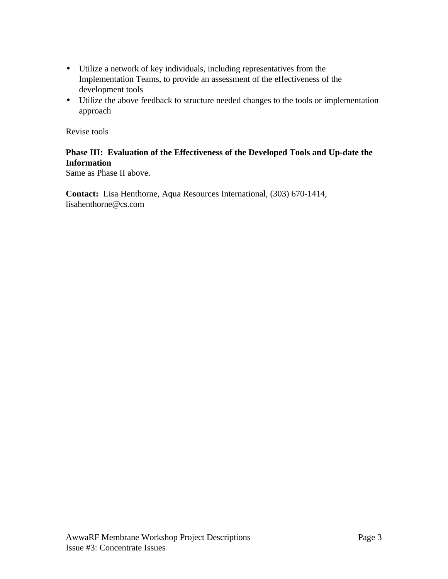- Utilize a network of key individuals, including representatives from the Implementation Teams, to provide an assessment of the effectiveness of the development tools
- Utilize the above feedback to structure needed changes to the tools or implementation approach

Revise tools

## **Phase III: Evaluation of the Effectiveness of the Developed Tools and Up-date the Information**

Same as Phase II above.

**Contact:** Lisa Henthorne, Aqua Resources International, (303) 670-1414, lisahenthorne@cs.com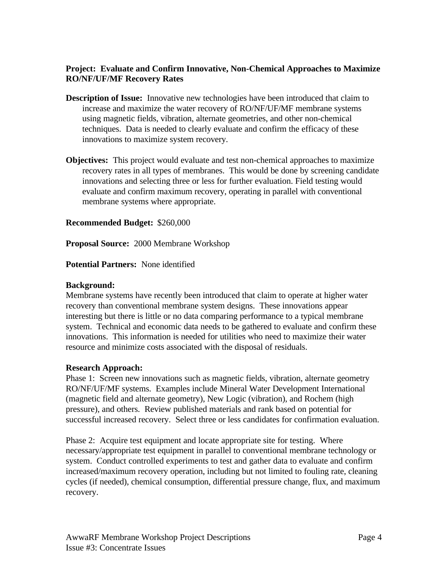## **Project: Evaluate and Confirm Innovative, Non-Chemical Approaches to Maximize RO/NF/UF/MF Recovery Rates**

- **Description of Issue:** Innovative new technologies have been introduced that claim to increase and maximize the water recovery of RO/NF/UF/MF membrane systems using magnetic fields, vibration, alternate geometries, and other non-chemical techniques. Data is needed to clearly evaluate and confirm the efficacy of these innovations to maximize system recovery.
- **Objectives:** This project would evaluate and test non-chemical approaches to maximize recovery rates in all types of membranes. This would be done by screening candidate innovations and selecting three or less for further evaluation. Field testing would evaluate and confirm maximum recovery, operating in parallel with conventional membrane systems where appropriate.

## **Recommended Budget:** \$260,000

**Proposal Source:** 2000 Membrane Workshop

## **Potential Partners:** None identified

## **Background:**

Membrane systems have recently been introduced that claim to operate at higher water recovery than conventional membrane system designs. These innovations appear interesting but there is little or no data comparing performance to a typical membrane system. Technical and economic data needs to be gathered to evaluate and confirm these innovations. This information is needed for utilities who need to maximize their water resource and minimize costs associated with the disposal of residuals.

## **Research Approach:**

Phase 1: Screen new innovations such as magnetic fields, vibration, alternate geometry RO/NF/UF/MF systems. Examples include Mineral Water Development International (magnetic field and alternate geometry), New Logic (vibration), and Rochem (high pressure), and others. Review published materials and rank based on potential for successful increased recovery. Select three or less candidates for confirmation evaluation.

Phase 2: Acquire test equipment and locate appropriate site for testing. Where necessary/appropriate test equipment in parallel to conventional membrane technology or system. Conduct controlled experiments to test and gather data to evaluate and confirm increased/maximum recovery operation, including but not limited to fouling rate, cleaning cycles (if needed), chemical consumption, differential pressure change, flux, and maximum recovery.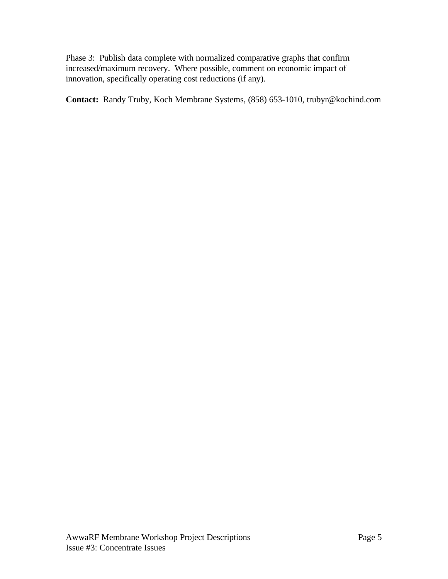Phase 3: Publish data complete with normalized comparative graphs that confirm increased/maximum recovery. Where possible, comment on economic impact of innovation, specifically operating cost reductions (if any).

**Contact:** Randy Truby, Koch Membrane Systems, (858) 653-1010, trubyr@kochind.com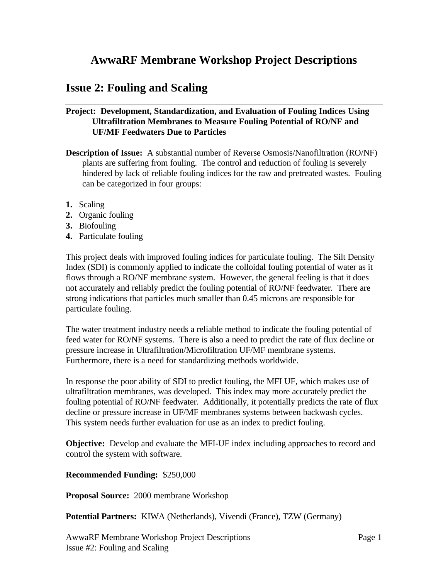## <span id="page-33-0"></span>**AwwaRF Membrane Workshop Project Descriptions**

## **Issue 2: Fouling and Scaling**

## **Project: Development, Standardization, and Evaluation of Fouling Indices Using Ultrafiltration Membranes to Measure Fouling Potential of RO/NF and UF/MF Feedwaters Due to Particles**

- **Description of Issue:** A substantial number of Reverse Osmosis/Nanofiltration (RO/NF) plants are suffering from fouling. The control and reduction of fouling is severely hindered by lack of reliable fouling indices for the raw and pretreated wastes. Fouling can be categorized in four groups:
- **1.** Scaling
- **2.** Organic fouling
- **3.** Biofouling
- **4.** Particulate fouling

This project deals with improved fouling indices for particulate fouling. The Silt Density Index (SDI) is commonly applied to indicate the colloidal fouling potential of water as it flows through a RO/NF membrane system. However, the general feeling is that it does not accurately and reliably predict the fouling potential of RO/NF feedwater. There are strong indications that particles much smaller than 0.45 microns are responsible for particulate fouling.

The water treatment industry needs a reliable method to indicate the fouling potential of feed water for RO/NF systems. There is also a need to predict the rate of flux decline or pressure increase in Ultrafiltration/Microfiltration UF/MF membrane systems. Furthermore, there is a need for standardizing methods worldwide.

In response the poor ability of SDI to predict fouling, the MFI UF, which makes use of ultrafiltration membranes, was developed. This index may more accurately predict the fouling potential of RO/NF feedwater. Additionally, it potentially predicts the rate of flux decline or pressure increase in UF/MF membranes systems between backwash cycles. This system needs further evaluation for use as an index to predict fouling.

**Objective:** Develop and evaluate the MFI-UF index including approaches to record and control the system with software.

### **Recommended Funding:** \$250,000

**Proposal Source:** 2000 membrane Workshop

**Potential Partners:** KIWA (Netherlands), Vivendi (France), TZW (Germany)

AwwaRF Membrane Workshop Project Descriptions Page 1 Issue #2: Fouling and Scaling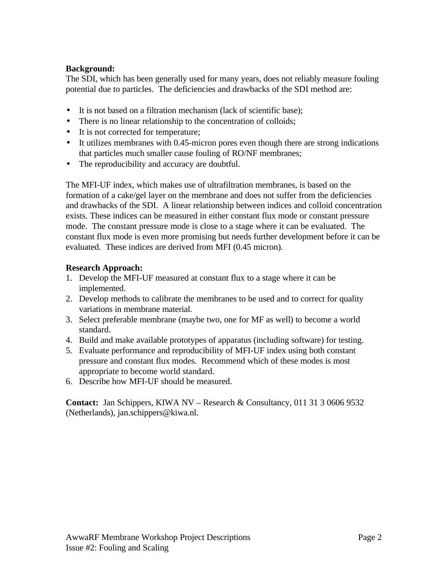## **Background:**

The SDI, which has been generally used for many years, does not reliably measure fouling potential due to particles. The deficiencies and drawbacks of the SDI method are:

- It is not based on a filtration mechanism (lack of scientific base);
- There is no linear relationship to the concentration of colloids;
- It is not corrected for temperature;
- It utilizes membranes with 0.45-micron pores even though there are strong indications that particles much smaller cause fouling of RO/NF membranes;
- The reproducibility and accuracy are doubtful.

The MFI-UF index, which makes use of ultrafiltration membranes, is based on the formation of a cake/gel layer on the membrane and does not suffer from the deficiencies and drawbacks of the SDI. A linear relationship between indices and colloid concentration exists. These indices can be measured in either constant flux mode or constant pressure mode. The constant pressure mode is close to a stage where it can be evaluated. The constant flux mode is even more promising but needs further development before it can be evaluated. These indices are derived from MFI (0.45 micron).

## **Research Approach:**

- 1. Develop the MFI-UF measured at constant flux to a stage where it can be implemented.
- 2. Develop methods to calibrate the membranes to be used and to correct for quality variations in membrane material.
- 3. Select preferable membrane (maybe two, one for MF as well) to become a world standard.
- 4. Build and make available prototypes of apparatus (including software) for testing.
- 5. Evaluate performance and reproducibility of MFI-UF index using both constant pressure and constant flux modes. Recommend which of these modes is most appropriate to become world standard.
- 6. Describe how MFI-UF should be measured.

**Contact:** Jan Schippers, KIWA NV – Research & Consultancy, 011 31 3 0606 9532 (Netherlands), jan.schippers@kiwa.nl.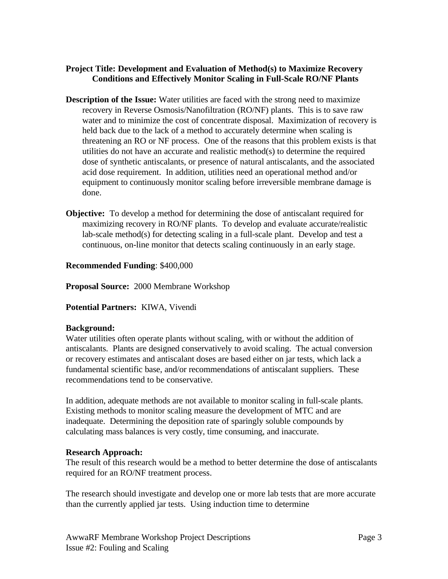## **Project Title: Development and Evaluation of Method(s) to Maximize Recovery Conditions and Effectively Monitor Scaling in Full-Scale RO/NF Plants**

- **Description of the Issue:** Water utilities are faced with the strong need to maximize recovery in Reverse Osmosis/Nanofiltration (RO/NF) plants. This is to save raw water and to minimize the cost of concentrate disposal. Maximization of recovery is held back due to the lack of a method to accurately determine when scaling is threatening an RO or NF process. One of the reasons that this problem exists is that utilities do not have an accurate and realistic method(s) to determine the required dose of synthetic antiscalants, or presence of natural antiscalants, and the associated acid dose requirement. In addition, utilities need an operational method and/or equipment to continuously monitor scaling before irreversible membrane damage is done.
- **Objective:** To develop a method for determining the dose of antiscalant required for maximizing recovery in RO/NF plants. To develop and evaluate accurate/realistic lab-scale method(s) for detecting scaling in a full-scale plant. Develop and test a continuous, on-line monitor that detects scaling continuously in an early stage.

## **Recommended Funding**: \$400,000

**Proposal Source:** 2000 Membrane Workshop

## **Potential Partners:** KIWA, Vivendi

### **Background:**

Water utilities often operate plants without scaling, with or without the addition of antiscalants. Plants are designed conservatively to avoid scaling. The actual conversion or recovery estimates and antiscalant doses are based either on jar tests, which lack a fundamental scientific base, and/or recommendations of antiscalant suppliers. These recommendations tend to be conservative.

In addition, adequate methods are not available to monitor scaling in full-scale plants. Existing methods to monitor scaling measure the development of MTC and are inadequate. Determining the deposition rate of sparingly soluble compounds by calculating mass balances is very costly, time consuming, and inaccurate.

## **Research Approach:**

The result of this research would be a method to better determine the dose of antiscalants required for an RO/NF treatment process.

The research should investigate and develop one or more lab tests that are more accurate than the currently applied jar tests. Using induction time to determine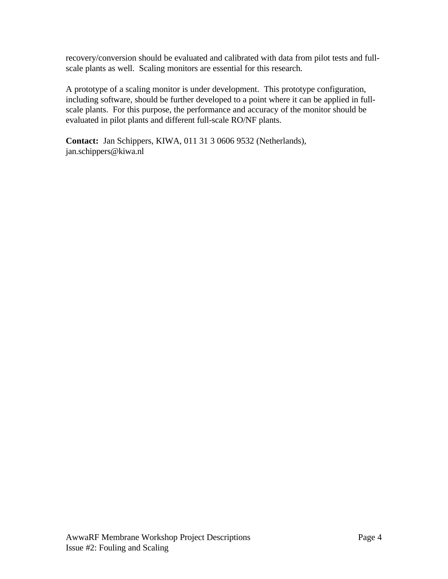recovery/conversion should be evaluated and calibrated with data from pilot tests and fullscale plants as well. Scaling monitors are essential for this research.

A prototype of a scaling monitor is under development. This prototype configuration, including software, should be further developed to a point where it can be applied in fullscale plants. For this purpose, the performance and accuracy of the monitor should be evaluated in pilot plants and different full-scale RO/NF plants.

**Contact:** Jan Schippers, KIWA, 011 31 3 0606 9532 (Netherlands), jan.schippers@kiwa.nl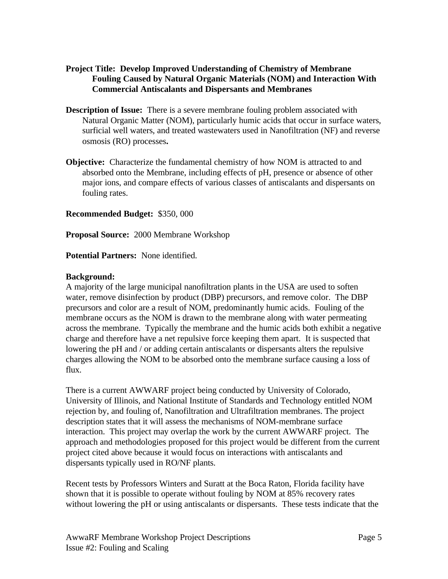- **Project Title: Develop Improved Understanding of Chemistry of Membrane Fouling Caused by Natural Organic Materials (NOM) and Interaction With Commercial Antiscalants and Dispersants and Membranes**
- **Description of Issue:** There is a severe membrane fouling problem associated with Natural Organic Matter (NOM), particularly humic acids that occur in surface waters, surficial well waters, and treated wastewaters used in Nanofiltration (NF) and reverse osmosis (RO) processes**.**
- **Objective:** Characterize the fundamental chemistry of how NOM is attracted to and absorbed onto the Membrane, including effects of pH, presence or absence of other major ions, and compare effects of various classes of antiscalants and dispersants on fouling rates.

**Recommended Budget:** \$350, 000

**Proposal Source:** 2000 Membrane Workshop

**Potential Partners:** None identified.

## **Background:**

A majority of the large municipal nanofiltration plants in the USA are used to soften water, remove disinfection by product (DBP) precursors, and remove color. The DBP precursors and color are a result of NOM, predominantly humic acids. Fouling of the membrane occurs as the NOM is drawn to the membrane along with water permeating across the membrane. Typically the membrane and the humic acids both exhibit a negative charge and therefore have a net repulsive force keeping them apart. It is suspected that lowering the pH and / or adding certain antiscalants or dispersants alters the repulsive charges allowing the NOM to be absorbed onto the membrane surface causing a loss of flux.

There is a current AWWARF project being conducted by University of Colorado, University of Illinois, and National Institute of Standards and Technology entitled NOM rejection by, and fouling of, Nanofiltration and Ultrafiltration membranes. The project description states that it will assess the mechanisms of NOM-membrane surface interaction. This project may overlap the work by the current AWWARF project. The approach and methodologies proposed for this project would be different from the current project cited above because it would focus on interactions with antiscalants and dispersants typically used in RO/NF plants.

Recent tests by Professors Winters and Suratt at the Boca Raton, Florida facility have shown that it is possible to operate without fouling by NOM at 85% recovery rates without lowering the pH or using antiscalants or dispersants. These tests indicate that the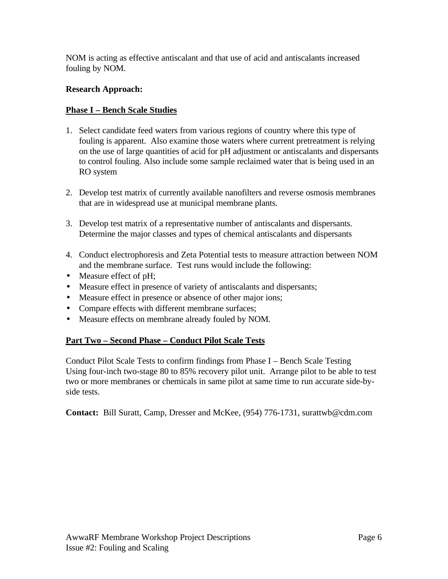NOM is acting as effective antiscalant and that use of acid and antiscalants increased fouling by NOM.

## **Research Approach:**

## **Phase I – Bench Scale Studies**

- 1. Select candidate feed waters from various regions of country where this type of fouling is apparent. Also examine those waters where current pretreatment is relying on the use of large quantities of acid for pH adjustment or antiscalants and dispersants to control fouling. Also include some sample reclaimed water that is being used in an RO system
- 2. Develop test matrix of currently available nanofilters and reverse osmosis membranes that are in widespread use at municipal membrane plants.
- 3. Develop test matrix of a representative number of antiscalants and dispersants. Determine the major classes and types of chemical antiscalants and dispersants
- 4. Conduct electrophoresis and Zeta Potential tests to measure attraction between NOM and the membrane surface. Test runs would include the following:
- Measure effect of pH;
- Measure effect in presence of variety of antiscalants and dispersants;
- Measure effect in presence or absence of other major ions;
- Compare effects with different membrane surfaces;
- Measure effects on membrane already fouled by NOM.

## **Part Two – Second Phase – Conduct Pilot Scale Tests**

Conduct Pilot Scale Tests to confirm findings from Phase I – Bench Scale Testing Using four-inch two-stage 80 to 85% recovery pilot unit. Arrange pilot to be able to test two or more membranes or chemicals in same pilot at same time to run accurate side-byside tests.

**Contact:** Bill Suratt, Camp, Dresser and McKee, (954) 776-1731, surattwb@cdm.com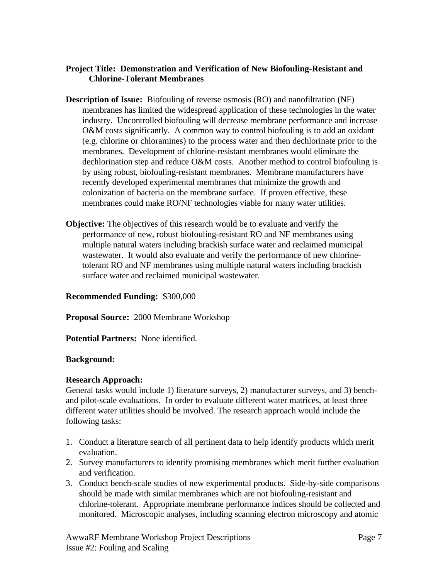## **Project Title: Demonstration and Verification of New Biofouling-Resistant and Chlorine-Tolerant Membranes**

- **Description of Issue:** Biofouling of reverse osmosis (RO) and nanofiltration (NF) membranes has limited the widespread application of these technologies in the water industry. Uncontrolled biofouling will decrease membrane performance and increase O&M costs significantly. A common way to control biofouling is to add an oxidant (e.g. chlorine or chloramines) to the process water and then dechlorinate prior to the membranes. Development of chlorine-resistant membranes would eliminate the dechlorination step and reduce O&M costs. Another method to control biofouling is by using robust, biofouling-resistant membranes. Membrane manufacturers have recently developed experimental membranes that minimize the growth and colonization of bacteria on the membrane surface. If proven effective, these membranes could make RO/NF technologies viable for many water utilities.
- **Objective:** The objectives of this research would be to evaluate and verify the performance of new, robust biofouling-resistant RO and NF membranes using multiple natural waters including brackish surface water and reclaimed municipal wastewater. It would also evaluate and verify the performance of new chlorinetolerant RO and NF membranes using multiple natural waters including brackish surface water and reclaimed municipal wastewater.

### **Recommended Funding:** \$300,000

**Proposal Source:** 2000 Membrane Workshop

**Potential Partners:** None identified.

### **Background:**

## **Research Approach:**

General tasks would include 1) literature surveys, 2) manufacturer surveys, and 3) benchand pilot-scale evaluations. In order to evaluate different water matrices, at least three different water utilities should be involved. The research approach would include the following tasks:

- 1. Conduct a literature search of all pertinent data to help identify products which merit evaluation.
- 2. Survey manufacturers to identify promising membranes which merit further evaluation and verification.
- 3. Conduct bench-scale studies of new experimental products. Side-by-side comparisons should be made with similar membranes which are not biofouling-resistant and chlorine-tolerant. Appropriate membrane performance indices should be collected and monitored. Microscopic analyses, including scanning electron microscopy and atomic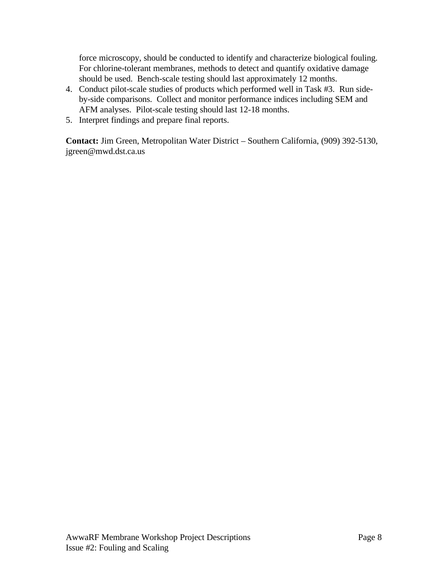force microscopy, should be conducted to identify and characterize biological fouling. For chlorine-tolerant membranes, methods to detect and quantify oxidative damage should be used. Bench-scale testing should last approximately 12 months.

- 4. Conduct pilot-scale studies of products which performed well in Task #3. Run sideby-side comparisons. Collect and monitor performance indices including SEM and AFM analyses. Pilot-scale testing should last 12-18 months.
- 5. Interpret findings and prepare final reports.

**Contact:** Jim Green, Metropolitan Water District – Southern California, (909) 392-5130, jgreen@mwd.dst.ca.us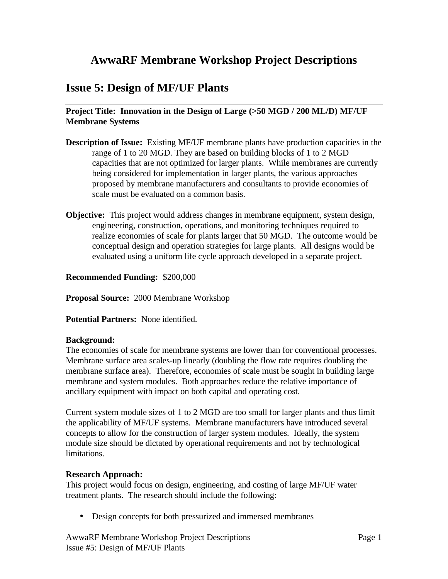## <span id="page-41-0"></span>**AwwaRF Membrane Workshop Project Descriptions**

## **Issue 5: Design of MF/UF Plants**

## **Project Title: Innovation in the Design of Large (>50 MGD / 200 ML/D) MF/UF Membrane Systems**

- **Description of Issue:** Existing MF/UF membrane plants have production capacities in the range of 1 to 20 MGD. They are based on building blocks of 1 to 2 MGD capacities that are not optimized for larger plants. While membranes are currently being considered for implementation in larger plants, the various approaches proposed by membrane manufacturers and consultants to provide economies of scale must be evaluated on a common basis.
- **Objective:** This project would address changes in membrane equipment, system design, engineering, construction, operations, and monitoring techniques required to realize economies of scale for plants larger that 50 MGD. The outcome would be conceptual design and operation strategies for large plants. All designs would be evaluated using a uniform life cycle approach developed in a separate project.

## **Recommended Funding:** \$200,000

**Proposal Source:** 2000 Membrane Workshop

**Potential Partners:** None identified.

### **Background:**

The economies of scale for membrane systems are lower than for conventional processes. Membrane surface area scales-up linearly (doubling the flow rate requires doubling the membrane surface area). Therefore, economies of scale must be sought in building large membrane and system modules. Both approaches reduce the relative importance of ancillary equipment with impact on both capital and operating cost.

Current system module sizes of 1 to 2 MGD are too small for larger plants and thus limit the applicability of MF/UF systems. Membrane manufacturers have introduced several concepts to allow for the construction of larger system modules. Ideally, the system module size should be dictated by operational requirements and not by technological limitations.

### **Research Approach:**

This project would focus on design, engineering, and costing of large MF/UF water treatment plants. The research should include the following:

• Design concepts for both pressurized and immersed membranes

AwwaRF Membrane Workshop Project Descriptions Page 1 Issue #5: Design of MF/UF Plants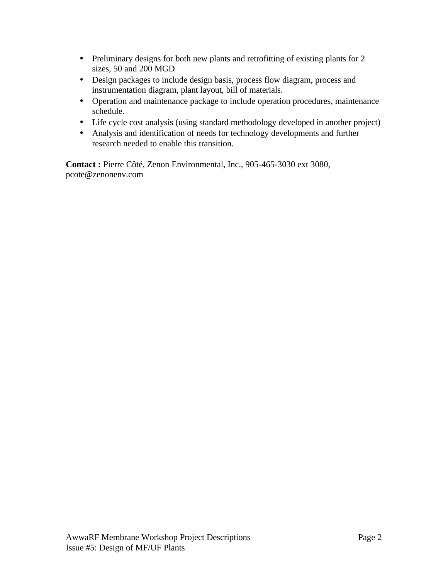- Preliminary designs for both new plants and retrofitting of existing plants for 2 sizes, 50 and 200 MGD
- Design packages to include design basis, process flow diagram, process and instrumentation diagram, plant layout, bill of materials.
- Operation and maintenance package to include operation procedures, maintenance schedule.
- Life cycle cost analysis (using standard methodology developed in another project)
- Analysis and identification of needs for technology developments and further research needed to enable this transition.

**Contact :** Pierre Côté, Zenon Environmental, Inc., 905-465-3030 ext 3080, pcote@zenonenv.com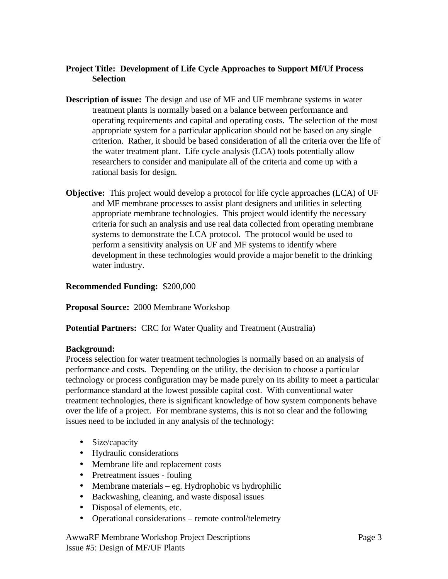## **Project Title: Development of Life Cycle Approaches to Support Mf/Uf Process Selection**

- **Description of issue:** The design and use of MF and UF membrane systems in water treatment plants is normally based on a balance between performance and operating requirements and capital and operating costs. The selection of the most appropriate system for a particular application should not be based on any single criterion. Rather, it should be based consideration of all the criteria over the life of the water treatment plant. Life cycle analysis (LCA) tools potentially allow researchers to consider and manipulate all of the criteria and come up with a rational basis for design.
- **Objective:** This project would develop a protocol for life cycle approaches (LCA) of UF and MF membrane processes to assist plant designers and utilities in selecting appropriate membrane technologies. This project would identify the necessary criteria for such an analysis and use real data collected from operating membrane systems to demonstrate the LCA protocol. The protocol would be used to perform a sensitivity analysis on UF and MF systems to identify where development in these technologies would provide a major benefit to the drinking water industry.

## **Recommended Funding:** \$200,000

**Proposal Source:** 2000 Membrane Workshop

**Potential Partners:** CRC for Water Quality and Treatment (Australia)

## **Background:**

Process selection for water treatment technologies is normally based on an analysis of performance and costs. Depending on the utility, the decision to choose a particular technology or process configuration may be made purely on its ability to meet a particular performance standard at the lowest possible capital cost. With conventional water treatment technologies, there is significant knowledge of how system components behave over the life of a project. For membrane systems, this is not so clear and the following issues need to be included in any analysis of the technology:

- Size/capacity
- Hydraulic considerations
- Membrane life and replacement costs
- Pretreatment issues fouling
- Membrane materials eg. Hydrophobic vs hydrophilic
- Backwashing, cleaning, and waste disposal issues
- Disposal of elements, etc.
- Operational considerations remote control/telemetry

AwwaRF Membrane Workshop Project Descriptions Page 3 Issue #5: Design of MF/UF Plants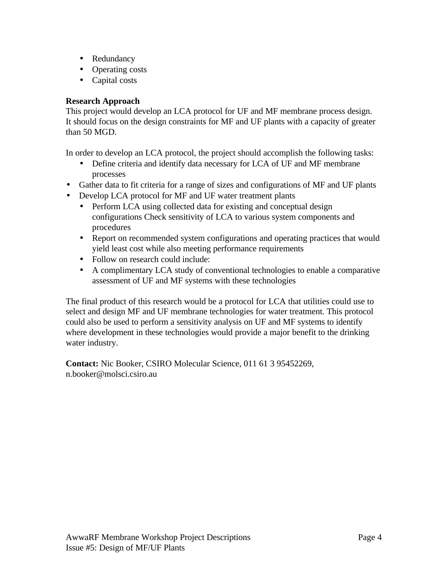- Redundancy
- Operating costs
- Capital costs

## **Research Approach**

This project would develop an LCA protocol for UF and MF membrane process design. It should focus on the design constraints for MF and UF plants with a capacity of greater than 50 MGD.

In order to develop an LCA protocol, the project should accomplish the following tasks:

- Define criteria and identify data necessary for LCA of UF and MF membrane processes
- Gather data to fit criteria for a range of sizes and configurations of MF and UF plants
- Develop LCA protocol for MF and UF water treatment plants
	- Perform LCA using collected data for existing and conceptual design configurations Check sensitivity of LCA to various system components and procedures
	- Report on recommended system configurations and operating practices that would yield least cost while also meeting performance requirements
	- Follow on research could include:
	- A complimentary LCA study of conventional technologies to enable a comparative assessment of UF and MF systems with these technologies

The final product of this research would be a protocol for LCA that utilities could use to select and design MF and UF membrane technologies for water treatment. This protocol could also be used to perform a sensitivity analysis on UF and MF systems to identify where development in these technologies would provide a major benefit to the drinking water industry.

**Contact:** Nic Booker, CSIRO Molecular Science, 011 61 3 95452269, n.booker@molsci.csiro.au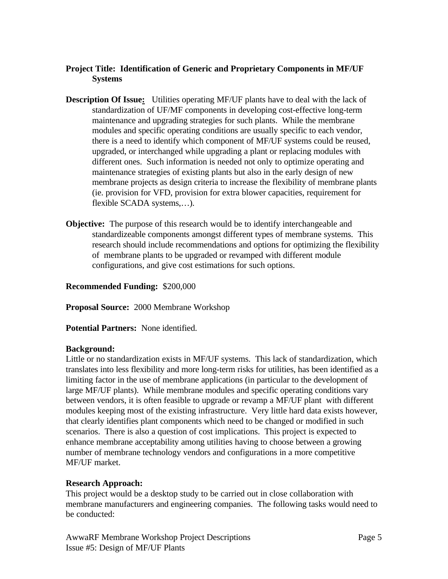## **Project Title: Identification of Generic and Proprietary Components in MF/UF Systems**

- **Description Of Issue:** Utilities operating MF/UF plants have to deal with the lack of standardization of UF/MF components in developing cost-effective long-term maintenance and upgrading strategies for such plants. While the membrane modules and specific operating conditions are usually specific to each vendor, there is a need to identify which component of MF/UF systems could be reused, upgraded, or interchanged while upgrading a plant or replacing modules with different ones. Such information is needed not only to optimize operating and maintenance strategies of existing plants but also in the early design of new membrane projects as design criteria to increase the flexibility of membrane plants (ie. provision for VFD, provision for extra blower capacities, requirement for flexible SCADA systems,…).
- **Objective:** The purpose of this research would be to identify interchangeable and standardizeable components amongst different types of membrane systems. This research should include recommendations and options for optimizing the flexibility of membrane plants to be upgraded or revamped with different module configurations, and give cost estimations for such options.

## **Recommended Funding:** \$200,000

**Proposal Source:** 2000 Membrane Workshop

**Potential Partners:** None identified.

### **Background:**

Little or no standardization exists in MF/UF systems. This lack of standardization, which translates into less flexibility and more long-term risks for utilities, has been identified as a limiting factor in the use of membrane applications (in particular to the development of large MF/UF plants). While membrane modules and specific operating conditions vary between vendors, it is often feasible to upgrade or revamp a MF/UF plant with different modules keeping most of the existing infrastructure. Very little hard data exists however, that clearly identifies plant components which need to be changed or modified in such scenarios. There is also a question of cost implications. This project is expected to enhance membrane acceptability among utilities having to choose between a growing number of membrane technology vendors and configurations in a more competitive MF/UF market.

## **Research Approach:**

This project would be a desktop study to be carried out in close collaboration with membrane manufacturers and engineering companies. The following tasks would need to be conducted:

AwwaRF Membrane Workshop Project Descriptions Page 5 Issue #5: Design of MF/UF Plants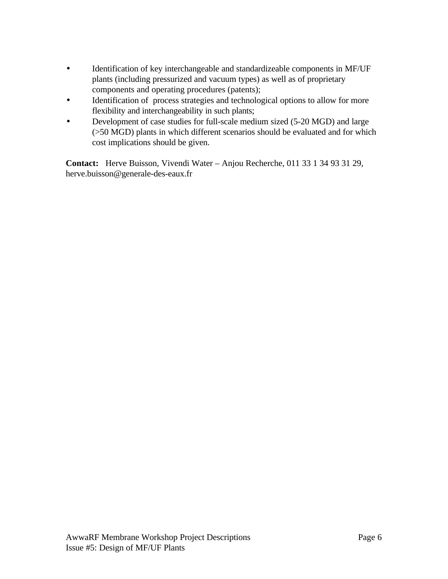- Identification of key interchangeable and standardizeable components in MF/UF plants (including pressurized and vacuum types) as well as of proprietary components and operating procedures (patents);
- Identification of process strategies and technological options to allow for more flexibility and interchangeability in such plants;
- Development of case studies for full-scale medium sized (5-20 MGD) and large (>50 MGD) plants in which different scenarios should be evaluated and for which cost implications should be given.

**Contact:** Herve Buisson, Vivendi Water – Anjou Recherche, 011 33 1 34 93 31 29, herve.buisson@generale-des-eaux.fr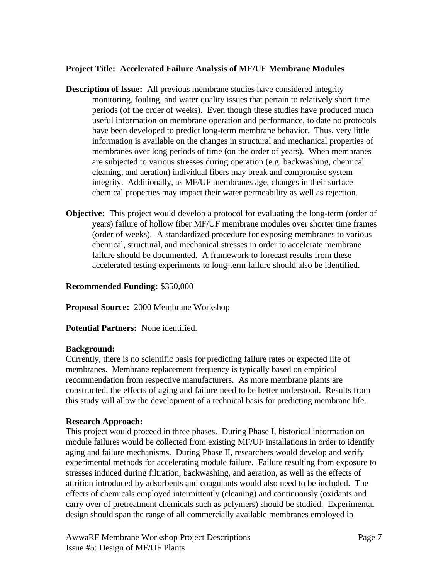## **Project Title: Accelerated Failure Analysis of MF/UF Membrane Modules**

- **Description of Issue:** All previous membrane studies have considered integrity monitoring, fouling, and water quality issues that pertain to relatively short time periods (of the order of weeks). Even though these studies have produced much useful information on membrane operation and performance, to date no protocols have been developed to predict long-term membrane behavior. Thus, very little information is available on the changes in structural and mechanical properties of membranes over long periods of time (on the order of years). When membranes are subjected to various stresses during operation (e.g. backwashing, chemical cleaning, and aeration) individual fibers may break and compromise system integrity. Additionally, as MF/UF membranes age, changes in their surface chemical properties may impact their water permeability as well as rejection.
- **Objective:** This project would develop a protocol for evaluating the long-term (order of years) failure of hollow fiber MF/UF membrane modules over shorter time frames (order of weeks). A standardized procedure for exposing membranes to various chemical, structural, and mechanical stresses in order to accelerate membrane failure should be documented. A framework to forecast results from these accelerated testing experiments to long-term failure should also be identified.

## **Recommended Funding:** \$350,000

**Proposal Source:** 2000 Membrane Workshop

**Potential Partners:** None identified.

### **Background:**

Currently, there is no scientific basis for predicting failure rates or expected life of membranes. Membrane replacement frequency is typically based on empirical recommendation from respective manufacturers. As more membrane plants are constructed, the effects of aging and failure need to be better understood. Results from this study will allow the development of a technical basis for predicting membrane life.

## **Research Approach:**

This project would proceed in three phases. During Phase I, historical information on module failures would be collected from existing MF/UF installations in order to identify aging and failure mechanisms. During Phase II, researchers would develop and verify experimental methods for accelerating module failure. Failure resulting from exposure to stresses induced during filtration, backwashing, and aeration, as well as the effects of attrition introduced by adsorbents and coagulants would also need to be included. The effects of chemicals employed intermittently (cleaning) and continuously (oxidants and carry over of pretreatment chemicals such as polymers) should be studied. Experimental design should span the range of all commercially available membranes employed in

AwwaRF Membrane Workshop Project Descriptions Page 7 Issue #5: Design of MF/UF Plants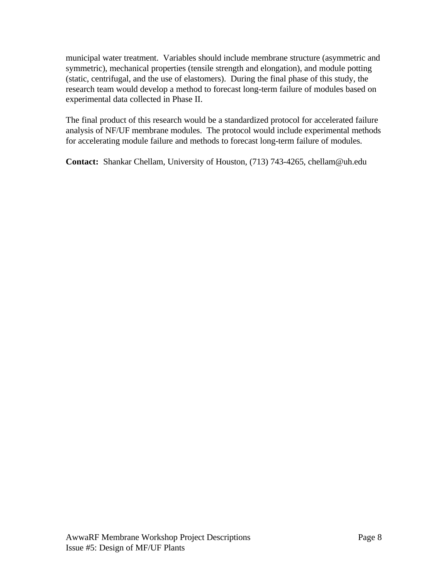municipal water treatment. Variables should include membrane structure (asymmetric and symmetric), mechanical properties (tensile strength and elongation), and module potting (static, centrifugal, and the use of elastomers). During the final phase of this study, the research team would develop a method to forecast long-term failure of modules based on experimental data collected in Phase II.

The final product of this research would be a standardized protocol for accelerated failure analysis of NF/UF membrane modules. The protocol would include experimental methods for accelerating module failure and methods to forecast long-term failure of modules.

**Contact:** Shankar Chellam, University of Houston, (713) 743-4265, chellam@uh.edu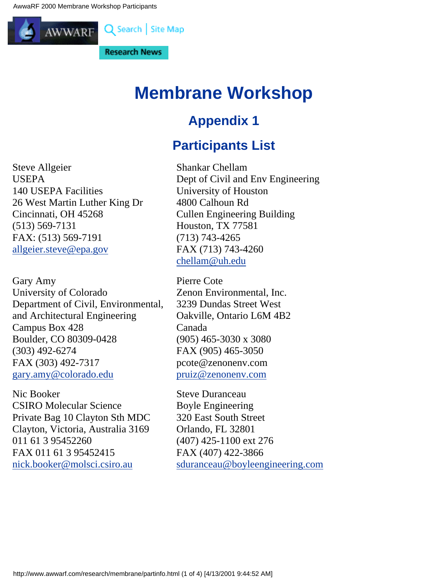<span id="page-49-0"></span>

# **Membrane Workshop**

# **Appendix 1**

# **Participants List**

Steve Allgeier USEPA 140 USEPA Facilities 26 West Martin Luther King Dr Cincinnati, OH 45268 (513) 569-7131 FAX: (513) 569-7191 [allgeier.steve@epa.gov](http://allgeier.steve@epa.gov/)

Gary Amy University of Colorado Department of Civil, Environmental, and Architectural Engineering Campus Box 428 Boulder, CO 80309-0428 (303) 492-6274 FAX (303) 492-7317 [gary.amy@colorado.edu](http://gary.amy@colorado.edu/)

Nic Booker CSIRO Molecular Science Private Bag 10 Clayton Sth MDC Clayton, Victoria, Australia 3169 011 61 3 95452260 FAX 011 61 3 95452415 [nick.booker@molsci.csiro.au](http://nick.booker@molsci.csiro.au/)

Shankar Chellam Dept of Civil and Env Engineering University of Houston 4800 Calhoun Rd Cullen Engineering Building Houston, TX 77581 (713) 743-4265 FAX (713) 743-4260 [chellam@uh.edu](http://chellam@uh.edu/)

Pierre Cote Zenon Environmental, Inc. 3239 Dundas Street West Oakville, Ontario L6M 4B2 Canada (905) 465-3030 x 3080 FAX (905) 465-3050 pcote@zenonenv.com [pruiz@zenonenv.com](http://pruiz@zenonenv.com/)

Steve Duranceau Boyle Engineering 320 East South Street Orlando, FL 32801 (407) 425-1100 ext 276 FAX (407) 422-3866 [sduranceau@boyleengineering.com](http://sduranceau@boyleengineering.com/)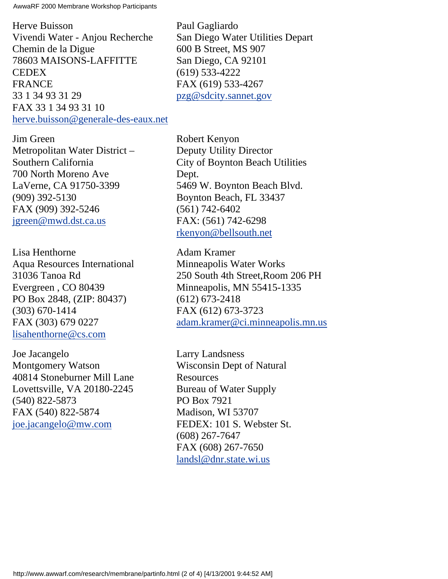AwwaRF 2000 Membrane Workshop Participants

Herve Buisson Vivendi Water - Anjou Recherche Chemin de la Digue 78603 MAISONS-LAFFITTE CEDEX FRANCE 33 1 34 93 31 29 FAX 33 1 34 93 31 10 [herve.buisson@generale-des-eaux.net](http://herve.buisson@generale-des-eaux.net/) Paul Gagliardo San Diego Water Utilities Depart 600 B Street, MS 907 San Diego, CA 92101 (619) 533-4222 FAX (619) 533-4267 [pzg@sdcity.sannet.gov](http://pzg@sdcity.sannet.gov/)

Jim Green Metropolitan Water District – Southern California 700 North Moreno Ave LaVerne, CA 91750-3399 (909) 392-5130 FAX (909) 392-5246 [jgreen@mwd.dst.ca.us](http://jgreen@mwd.dst.ca.us/)

Lisa Henthorne Aqua Resources International 31036 Tanoa Rd Evergreen , CO 80439 PO Box 2848, (ZIP: 80437) (303) 670-1414 FAX (303) 679 0227 [lisahenthorne@cs.com](http://lisahenthorne@cs.com/)

Joe Jacangelo Montgomery Watson 40814 Stoneburner Mill Lane Lovettsville, VA 20180-2245 (540) 822-5873 FAX (540) 822-5874 [joe.jacangelo@mw.com](http://joe.jacangelo@mw.com/)

Robert Kenyon Deputy Utility Director City of Boynton Beach Utilities Dept. 5469 W. Boynton Beach Blvd. Boynton Beach, FL 33437 (561) 742-6402 FAX: (561) 742-6298 [rkenyon@bellsouth.net](http://rkenyon@bellsouth.net/)

Adam Kramer Minneapolis Water Works 250 South 4th Street,Room 206 PH Minneapolis, MN 55415-1335 (612) 673-2418 FAX (612) 673-3723 [adam.kramer@ci.minneapolis.mn.us](http://adam.kramer@ci.minneapolis.mn.us/)

Larry Landsness Wisconsin Dept of Natural **Resources** Bureau of Water Supply PO Box 7921 Madison, WI 53707 FEDEX: 101 S. Webster St. (608) 267-7647 FAX (608) 267-7650 [landsl@dnr.state.wi.us](http://landsl@dnr.state.wi.us/)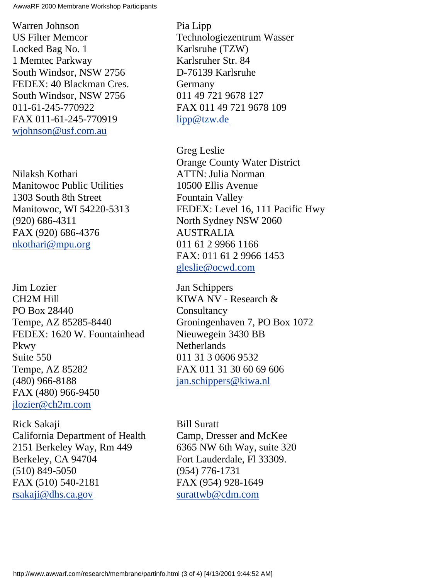AwwaRF 2000 Membrane Workshop Participants

Warren Johnson US Filter Memcor Locked Bag No. 1 1 Memtec Parkway South Windsor, NSW 2756 FEDEX: 40 Blackman Cres. South Windsor, NSW 2756 011-61-245-770922 FAX 011-61-245-770919 [wjohnson@usf.com.au](http://wjohnson@usf.com.au/)

Nilaksh Kothari Manitowoc Public Utilities 1303 South 8th Street Manitowoc, WI 54220-5313 (920) 686-4311 FAX (920) 686-4376 [nkothari@mpu.org](http://nkothari@mpu.org/)

Jim Lozier CH2M Hill PO Box 28440 Tempe, AZ 85285-8440 FEDEX: 1620 W. Fountainhead Pkwy Suite 550 Tempe, AZ 85282 (480) 966-8188 FAX (480) 966-9450 [jlozier@ch2m.com](http://jlozier@ch2m.com/)

Rick Sakaji California Department of Health 2151 Berkeley Way, Rm 449 Berkeley, CA 94704 (510) 849-5050 FAX (510) 540-2181 [rsakaji@dhs.ca.gov](http://rsakaji@dhs.ca.gov/)

Pia Lipp Technologiezentrum Wasser Karlsruhe (TZW) Karlsruher Str. 84 D-76139 Karlsruhe Germany 011 49 721 9678 127 FAX 011 49 721 9678 109 [lipp@tzw.de](http://lipp@tzw.de/)

Greg Leslie Orange County Water District ATTN: Julia Norman 10500 Ellis Avenue Fountain Valley FEDEX: Level 16, 111 Pacific Hwy North Sydney NSW 2060 AUSTRALIA 011 61 2 9966 1166 FAX: 011 61 2 9966 1453 [gleslie@ocwd.com](http://gleslie@ocwd.com/)

Jan Schippers KIWA NV - Research & **Consultancy** Groningenhaven 7, PO Box 1072 Nieuwegein 3430 BB **Netherlands** 011 31 3 0606 9532 FAX 011 31 30 60 69 606 [jan.schippers@kiwa.nl](http://jan.schippers@kiwa.nl/)

Bill Suratt Camp, Dresser and McKee 6365 NW 6th Way, suite 320 Fort Lauderdale, Fl 33309. (954) 776-1731 FAX (954) 928-1649 [surattwb@cdm.com](http://surattwb@cdm.com/)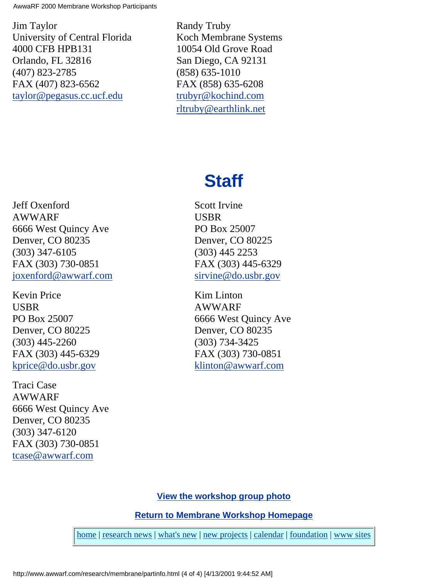AwwaRF 2000 Membrane Workshop Participants

Jim Taylor University of Central Florida 4000 CFB HPB131 Orlando, FL 32816 (407) 823-2785 FAX (407) 823-6562 [taylor@pegasus.cc.ucf.edu](http://taylor@pegasus.cc.ucf.edu/)

Randy Truby Koch Membrane Systems 10054 Old Grove Road San Diego, CA 92131 (858) 635-1010 FAX (858) 635-6208 [trubyr@kochind.com](http://trubyr@kochind.com/) [rltruby@earthlink.net](http://rltruby@earthlink.net/)

# **Staff**

Jeff Oxenford AWWARF 6666 West Quincy Ave Denver, CO 80235 (303) 347-6105 FAX (303) 730-0851 [joxenford@awwarf.com](http://joxenford@awwarf.com/)

Kevin Price USBR PO Box 25007 Denver, CO 80225 (303) 445-2260 FAX (303) 445-6329 [kprice@do.usbr.gov](http://kprice@do.usbr.gov/)

Traci Case AWWARF 6666 West Quincy Ave Denver, CO 80235 (303) 347-6120 FAX (303) 730-0851 [tcase@awwarf.com](http://tcase@awwarf.com/)

Scott Irvine USBR PO Box 25007 Denver, CO 80225 (303) 445 2253 FAX (303) 445-6329 [sirvine@do.usbr.gov](http://sirvine@do.usbr.gov/)

Kim Linton AWWARF 6666 West Quincy Ave Denver, CO 80235 (303) 734-3425 FAX (303) 730-0851 [klinton@awwarf.com](http://klinton@awwarf.com/)

**[View the workshop group photo](#page-70-0)**

**[Return to Membrane Workshop Homepage](#page-0-0)**

[home](http://www.awwarf.com/index.html) | [research news](http://www.awwarf.com/research.html) | [what's new](http://www.awwarf.com/whatsnew.html) | [new projects](http://www.awwarf.com/newprojects.html) | [calendar](http://www.awwarf.com/calendar.html) | [foundation](http://www.awwarf.com/meet/) | [www sites](http://www.awwarf.com/othersites.html)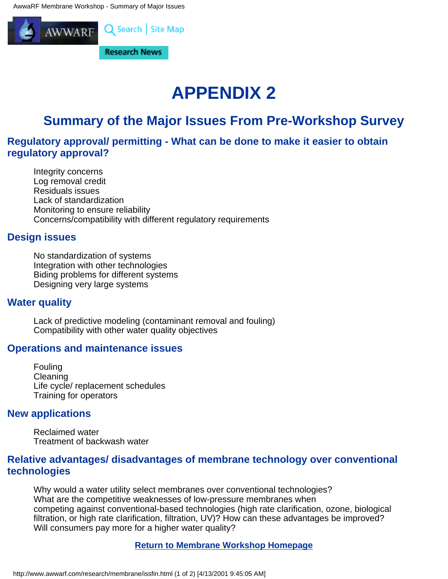<span id="page-53-0"></span>

# **APPENDIX 2**

# **Summary of the Major Issues From Pre-Workshop Survey**

## **Regulatory approval/ permitting - What can be done to make it easier to obtain regulatory approval?**

Integrity concerns Log removal credit Residuals issues Lack of standardization Monitoring to ensure reliability Concerns/compatibility with different regulatory requirements

## **Design issues**

No standardization of systems Integration with other technologies Biding problems for different systems Designing very large systems

## **Water quality**

Lack of predictive modeling (contaminant removal and fouling) Compatibility with other water quality objectives

## **Operations and maintenance issues**

Fouling Cleaning Life cycle/ replacement schedules Training for operators

## **New applications**

Reclaimed water Treatment of backwash water

## **Relative advantages/ disadvantages of membrane technology over conventional technologies**

Why would a water utility select membranes over conventional technologies? What are the competitive weaknesses of low-pressure membranes when competing against conventional-based technologies (high rate clarification, ozone, biological filtration, or high rate clarification, filtration, UV)? How can these advantages be improved? Will consumers pay more for a higher water quality?

## **[Return to Membrane Workshop Homepage](#page-0-0)**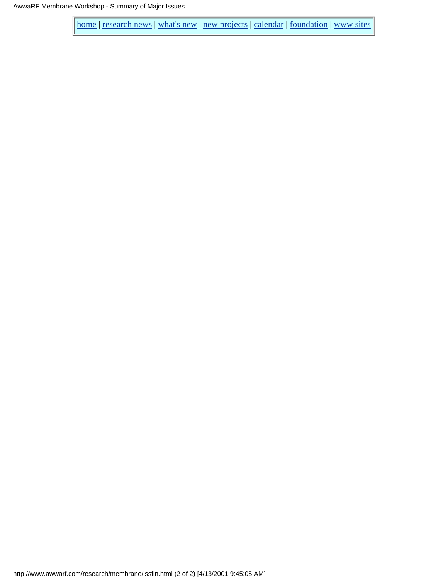[home](http://www.awwarf.com/index.html) | [research news](http://www.awwarf.com/research.html) | [what's new](http://www.awwarf.com/whatsnew.html) | [new projects](http://www.awwarf.com/newprojects.html) | [calendar](http://www.awwarf.com/calendar.html) | [foundation](http://www.awwarf.com/meet/) | [www sites](http://www.awwarf.com/othersites.html)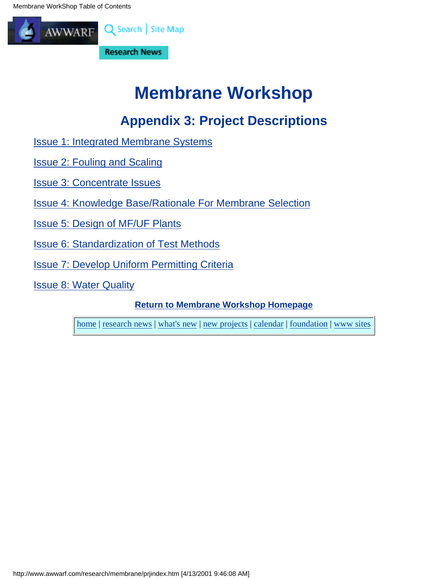<span id="page-55-0"></span>Membrane WorkShop Table of Contents



# **Membrane Workshop**

# **Appendix 3: Project Descriptions**

- [Issue 1: Integrated Membrane Systems](#page-11-0)
- [Issue 2: Fouling and Scaling](#page-33-0)
- [Issue 3: Concentrate Issues](#page-28-0)
- [Issue 4: Knowledge Base/Rationale For Membrane Selection](#page-19-0)
- [Issue 5: Design of MF/UF Plants](#page-41-0)
- [Issue 6: Standardization of Test Methods](#page-24-0)
- [Issue 7: Develop Uniform Permitting Criteria](#page-56-0)
- [Issue 8: Water Quality](#page-62-0)

**[Return to Membrane Workshop Homepage](#page-0-0)**

[home](http://www.awwarf.com/index.html) | [research news](http://www.awwarf.com/research.html) | [what's new](http://www.awwarf.com/whatsnew.html) | [new projects](http://www.awwarf.com/newprojects.html) | [calendar](http://www.awwarf.com/calendar.html) | [foundation](http://www.awwarf.com/meet/) | [www sites](http://www.awwarf.com/othersites.html)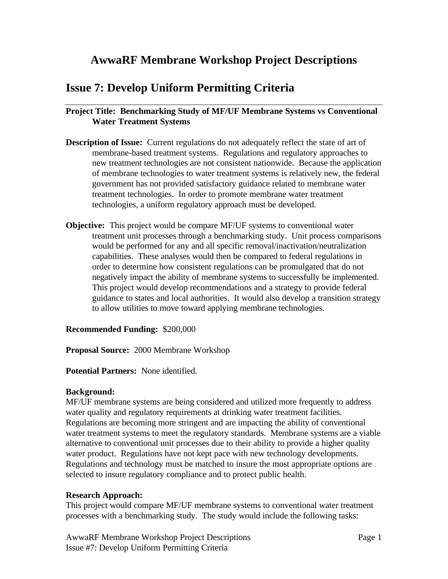## <span id="page-56-0"></span>**AwwaRF Membrane Workshop Project Descriptions**

## **Issue 7: Develop Uniform Permitting Criteria**

## **Project Title: Benchmarking Study of MF/UF Membrane Systems vs Conventional Water Treatment Systems**

- **Description of Issue:** Current regulations do not adequately reflect the state of art of membrane-based treatment systems. Regulations and regulatory approaches to new treatment technologies are not consistent nationwide. Because the application of membrane technologies to water treatment systems is relatively new, the federal government has not provided satisfactory guidance related to membrane water treatment technologies. In order to promote membrane water treatment technologies, a uniform regulatory approach must be developed.
- **Objective:** This project would be compare MF/UF systems to conventional water treatment unit processes through a benchmarking study. Unit process comparisons would be performed for any and all specific removal/inactivation/neutralization capabilities. These analyses would then be compared to federal regulations in order to determine how consistent regulations can be promulgated that do not negatively impact the ability of membrane systems to successfully be implemented. This project would develop recommendations and a strategy to provide federal guidance to states and local authorities. It would also develop a transition strategy to allow utilities to move toward applying membrane technologies.

### **Recommended Funding:** \$200,000

**Proposal Source:** 2000 Membrane Workshop

#### **Potential Partners:** None identified.

#### **Background:**

MF/UF membrane systems are being considered and utilized more frequently to address water quality and regulatory requirements at drinking water treatment facilities. Regulations are becoming more stringent and are impacting the ability of conventional water treatment systems to meet the regulatory standards. Membrane systems are a viable alternative to conventional unit processes due to their ability to provide a higher quality water product. Regulations have not kept pace with new technology developments. Regulations and technology must be matched to insure the most appropriate options are selected to insure regulatory compliance and to protect public health.

### **Research Approach:**

This project would compare MF/UF membrane systems to conventional water treatment processes with a benchmarking study. The study would include the following tasks:

AwwaRF Membrane Workshop Project Descriptions Page 1 Issue #7: Develop Uniform Permitting Criteria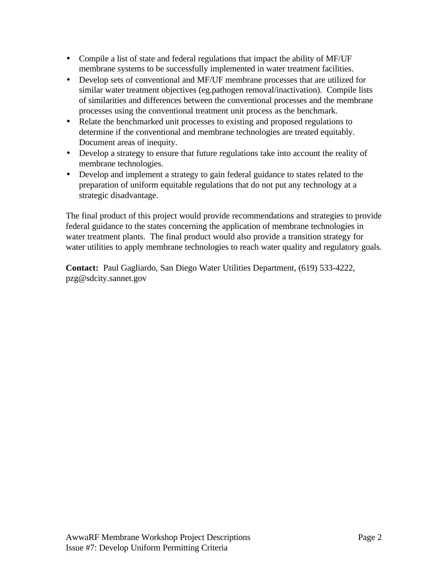- Compile a list of state and federal regulations that impact the ability of MF/UF membrane systems to be successfully implemented in water treatment facilities.
- Develop sets of conventional and MF/UF membrane processes that are utilized for similar water treatment objectives (eg.pathogen removal/inactivation). Compile lists of similarities and differences between the conventional processes and the membrane processes using the conventional treatment unit process as the benchmark.
- Relate the benchmarked unit processes to existing and proposed regulations to determine if the conventional and membrane technologies are treated equitably. Document areas of inequity.
- Develop a strategy to ensure that future regulations take into account the reality of membrane technologies.
- Develop and implement a strategy to gain federal guidance to states related to the preparation of uniform equitable regulations that do not put any technology at a strategic disadvantage.

The final product of this project would provide recommendations and strategies to provide federal guidance to the states concerning the application of membrane technologies in water treatment plants. The final product would also provide a transition strategy for water utilities to apply membrane technologies to reach water quality and regulatory goals.

**Contact:** Paul Gagliardo, San Diego Water Utilities Department, (619) 533-4222, pzg@sdcity.sannet.gov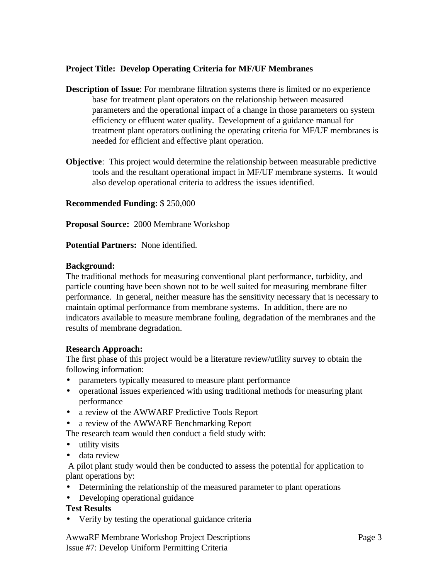## **Project Title: Develop Operating Criteria for MF/UF Membranes**

- **Description of Issue**: For membrane filtration systems there is limited or no experience base for treatment plant operators on the relationship between measured parameters and the operational impact of a change in those parameters on system efficiency or effluent water quality. Development of a guidance manual for treatment plant operators outlining the operating criteria for MF/UF membranes is needed for efficient and effective plant operation.
- **Objective**: This project would determine the relationship between measurable predictive tools and the resultant operational impact in MF/UF membrane systems. It would also develop operational criteria to address the issues identified.

**Recommended Funding**: \$ 250,000

**Proposal Source:** 2000 Membrane Workshop

**Potential Partners:** None identified.

### **Background:**

The traditional methods for measuring conventional plant performance, turbidity, and particle counting have been shown not to be well suited for measuring membrane filter performance. In general, neither measure has the sensitivity necessary that is necessary to maintain optimal performance from membrane systems. In addition, there are no indicators available to measure membrane fouling, degradation of the membranes and the results of membrane degradation.

### **Research Approach:**

The first phase of this project would be a literature review/utility survey to obtain the following information:

- parameters typically measured to measure plant performance
- operational issues experienced with using traditional methods for measuring plant performance
- a review of the AWWARF Predictive Tools Report
- a review of the AWWARF Benchmarking Report

The research team would then conduct a field study with:

- utility visits
- data review

 A pilot plant study would then be conducted to assess the potential for application to plant operations by:

- Determining the relationship of the measured parameter to plant operations
- Developing operational guidance

## **Test Results**

• Verify by testing the operational guidance criteria

AwwaRF Membrane Workshop Project Descriptions Page 3 Issue #7: Develop Uniform Permitting Criteria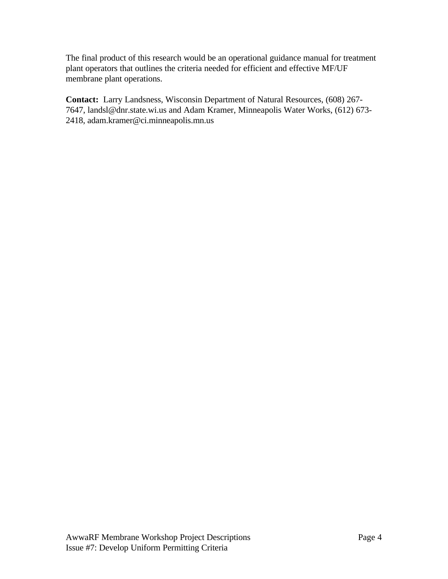The final product of this research would be an operational guidance manual for treatment plant operators that outlines the criteria needed for efficient and effective MF/UF membrane plant operations.

**Contact:** Larry Landsness, Wisconsin Department of Natural Resources, (608) 267- 7647, landsl@dnr.state.wi.us and Adam Kramer, Minneapolis Water Works, (612) 673- 2418, adam.kramer@ci.minneapolis.mn.us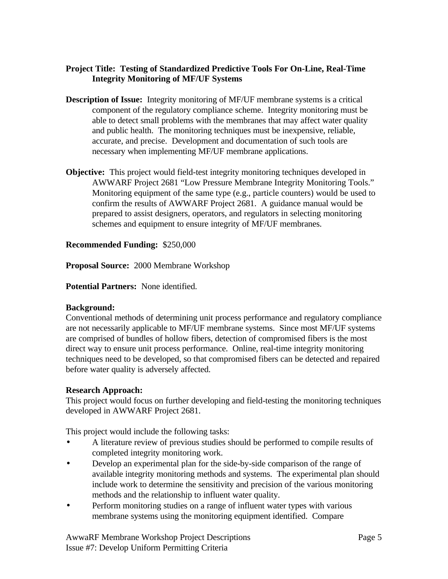## **Project Title: Testing of Standardized Predictive Tools For On-Line, Real-Time Integrity Monitoring of MF/UF Systems**

- **Description of Issue:** Integrity monitoring of MF/UF membrane systems is a critical component of the regulatory compliance scheme. Integrity monitoring must be able to detect small problems with the membranes that may affect water quality and public health. The monitoring techniques must be inexpensive, reliable, accurate, and precise. Development and documentation of such tools are necessary when implementing MF/UF membrane applications.
- **Objective:** This project would field-test integrity monitoring techniques developed in AWWARF Project 2681 "Low Pressure Membrane Integrity Monitoring Tools." Monitoring equipment of the same type (e.g., particle counters) would be used to confirm the results of AWWARF Project 2681. A guidance manual would be prepared to assist designers, operators, and regulators in selecting monitoring schemes and equipment to ensure integrity of MF/UF membranes.

## **Recommended Funding:** \$250,000

**Proposal Source:** 2000 Membrane Workshop

**Potential Partners:** None identified.

## **Background:**

Conventional methods of determining unit process performance and regulatory compliance are not necessarily applicable to MF/UF membrane systems. Since most MF/UF systems are comprised of bundles of hollow fibers, detection of compromised fibers is the most direct way to ensure unit process performance. Online, real-time integrity monitoring techniques need to be developed, so that compromised fibers can be detected and repaired before water quality is adversely affected.

## **Research Approach:**

This project would focus on further developing and field-testing the monitoring techniques developed in AWWARF Project 2681.

This project would include the following tasks:

- A literature review of previous studies should be performed to compile results of completed integrity monitoring work.
- Develop an experimental plan for the side-by-side comparison of the range of available integrity monitoring methods and systems. The experimental plan should include work to determine the sensitivity and precision of the various monitoring methods and the relationship to influent water quality.
- Perform monitoring studies on a range of influent water types with various membrane systems using the monitoring equipment identified. Compare

AwwaRF Membrane Workshop Project Descriptions Page 5 Issue #7: Develop Uniform Permitting Criteria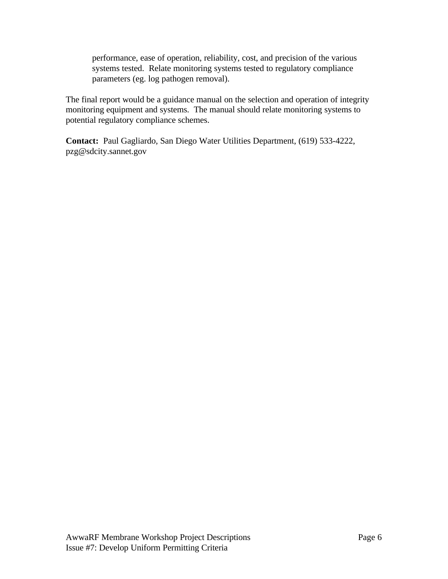performance, ease of operation, reliability, cost, and precision of the various systems tested. Relate monitoring systems tested to regulatory compliance parameters (eg. log pathogen removal).

The final report would be a guidance manual on the selection and operation of integrity monitoring equipment and systems. The manual should relate monitoring systems to potential regulatory compliance schemes.

**Contact:** Paul Gagliardo, San Diego Water Utilities Department, (619) 533-4222, pzg@sdcity.sannet.gov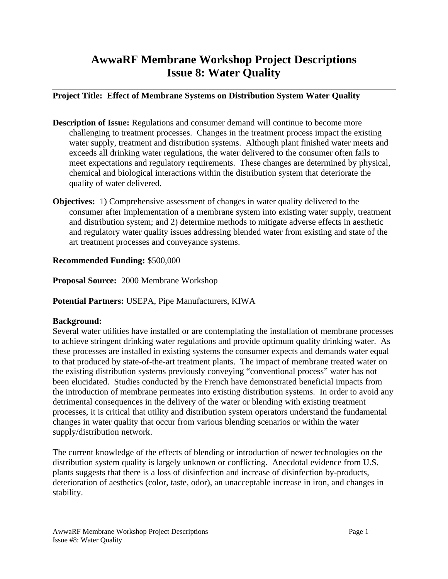## <span id="page-62-0"></span>**AwwaRF Membrane Workshop Project Descriptions Issue 8: Water Quality**

## **Project Title: Effect of Membrane Systems on Distribution System Water Quality**

- **Description of Issue:** Regulations and consumer demand will continue to become more challenging to treatment processes. Changes in the treatment process impact the existing water supply, treatment and distribution systems. Although plant finished water meets and exceeds all drinking water regulations, the water delivered to the consumer often fails to meet expectations and regulatory requirements. These changes are determined by physical, chemical and biological interactions within the distribution system that deteriorate the quality of water delivered.
- **Objectives:** 1) Comprehensive assessment of changes in water quality delivered to the consumer after implementation of a membrane system into existing water supply, treatment and distribution system; and 2) determine methods to mitigate adverse effects in aesthetic and regulatory water quality issues addressing blended water from existing and state of the art treatment processes and conveyance systems.

## **Recommended Funding:** \$500,000

**Proposal Source:** 2000 Membrane Workshop

**Potential Partners:** USEPA, Pipe Manufacturers, KIWA

## **Background:**

Several water utilities have installed or are contemplating the installation of membrane processes to achieve stringent drinking water regulations and provide optimum quality drinking water. As these processes are installed in existing systems the consumer expects and demands water equal to that produced by state-of-the-art treatment plants. The impact of membrane treated water on the existing distribution systems previously conveying "conventional process" water has not been elucidated. Studies conducted by the French have demonstrated beneficial impacts from the introduction of membrane permeates into existing distribution systems. In order to avoid any detrimental consequences in the delivery of the water or blending with existing treatment processes, it is critical that utility and distribution system operators understand the fundamental changes in water quality that occur from various blending scenarios or within the water supply/distribution network.

The current knowledge of the effects of blending or introduction of newer technologies on the distribution system quality is largely unknown or conflicting. Anecdotal evidence from U.S. plants suggests that there is a loss of disinfection and increase of disinfection by-products, deterioration of aesthetics (color, taste, odor), an unacceptable increase in iron, and changes in stability.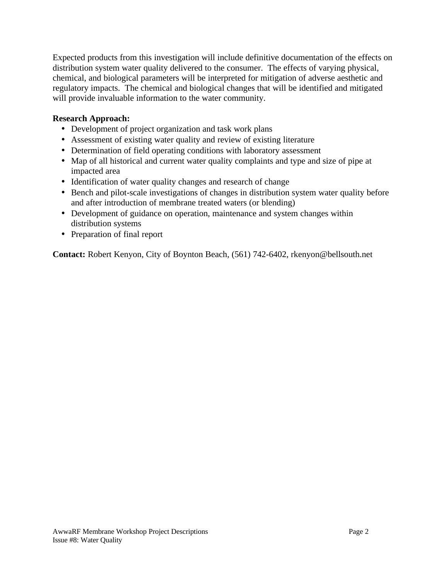Expected products from this investigation will include definitive documentation of the effects on distribution system water quality delivered to the consumer. The effects of varying physical, chemical, and biological parameters will be interpreted for mitigation of adverse aesthetic and regulatory impacts. The chemical and biological changes that will be identified and mitigated will provide invaluable information to the water community.

## **Research Approach:**

- Development of project organization and task work plans
- Assessment of existing water quality and review of existing literature
- Determination of field operating conditions with laboratory assessment
- Map of all historical and current water quality complaints and type and size of pipe at impacted area
- Identification of water quality changes and research of change
- Bench and pilot-scale investigations of changes in distribution system water quality before and after introduction of membrane treated waters (or blending)
- Development of guidance on operation, maintenance and system changes within distribution systems
- Preparation of final report

**Contact:** Robert Kenyon, City of Boynton Beach, (561) 742-6402, rkenyon@bellsouth.net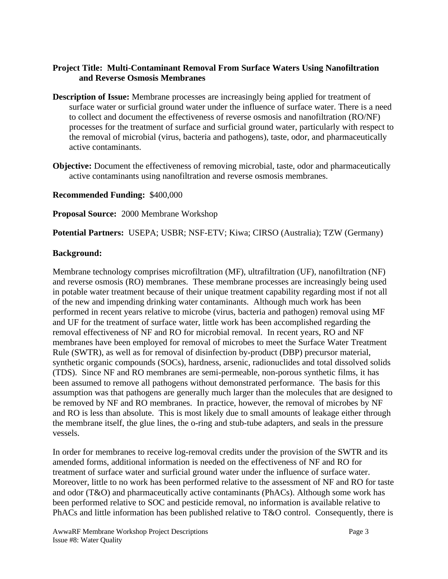## **Project Title: Multi-Contaminant Removal From Surface Waters Using Nanofiltration and Reverse Osmosis Membranes**

- **Description of Issue:** Membrane processes are increasingly being applied for treatment of surface water or surficial ground water under the influence of surface water. There is a need to collect and document the effectiveness of reverse osmosis and nanofiltration (RO/NF) processes for the treatment of surface and surficial ground water, particularly with respect to the removal of microbial (virus, bacteria and pathogens), taste, odor, and pharmaceutically active contaminants.
- **Objective:** Document the effectiveness of removing microbial, taste, odor and pharmaceutically active contaminants using nanofiltration and reverse osmosis membranes.

## **Recommended Funding:** \$400,000

## **Proposal Source:** 2000 Membrane Workshop

## **Potential Partners:** USEPA; USBR; NSF-ETV; Kiwa; CIRSO (Australia); TZW (Germany)

## **Background:**

Membrane technology comprises microfiltration (MF), ultrafiltration (UF), nanofiltration (NF) and reverse osmosis (RO) membranes. These membrane processes are increasingly being used in potable water treatment because of their unique treatment capability regarding most if not all of the new and impending drinking water contaminants. Although much work has been performed in recent years relative to microbe (virus, bacteria and pathogen) removal using MF and UF for the treatment of surface water, little work has been accomplished regarding the removal effectiveness of NF and RO for microbial removal. In recent years, RO and NF membranes have been employed for removal of microbes to meet the Surface Water Treatment Rule (SWTR), as well as for removal of disinfection by-product (DBP) precursor material, synthetic organic compounds (SOCs), hardness, arsenic, radionuclides and total dissolved solids (TDS). Since NF and RO membranes are semi-permeable, non-porous synthetic films, it has been assumed to remove all pathogens without demonstrated performance. The basis for this assumption was that pathogens are generally much larger than the molecules that are designed to be removed by NF and RO membranes. In practice, however, the removal of microbes by NF and RO is less than absolute. This is most likely due to small amounts of leakage either through the membrane itself, the glue lines, the o-ring and stub-tube adapters, and seals in the pressure vessels.

In order for membranes to receive log-removal credits under the provision of the SWTR and its amended forms, additional information is needed on the effectiveness of NF and RO for treatment of surface water and surficial ground water under the influence of surface water. Moreover, little to no work has been performed relative to the assessment of NF and RO for taste and odor (T&O) and pharmaceutically active contaminants (PhACs). Although some work has been performed relative to SOC and pesticide removal, no information is available relative to PhACs and little information has been published relative to T&O control. Consequently, there is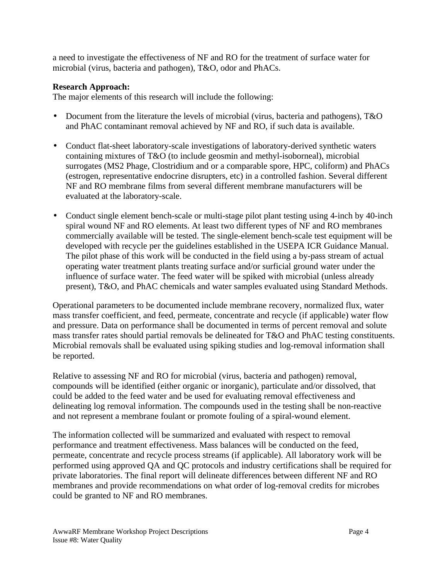a need to investigate the effectiveness of NF and RO for the treatment of surface water for microbial (virus, bacteria and pathogen), T&O, odor and PhACs.

## **Research Approach:**

The major elements of this research will include the following:

- Document from the literature the levels of microbial (virus, bacteria and pathogens), T&O and PhAC contaminant removal achieved by NF and RO, if such data is available.
- Conduct flat-sheet laboratory-scale investigations of laboratory-derived synthetic waters containing mixtures of T&O (to include geosmin and methyl-isoborneal), microbial surrogates (MS2 Phage, Clostridium and or a comparable spore, HPC, coliform) and PhACs (estrogen, representative endocrine disrupters, etc) in a controlled fashion. Several different NF and RO membrane films from several different membrane manufacturers will be evaluated at the laboratory-scale.
- Conduct single element bench-scale or multi-stage pilot plant testing using 4-inch by 40-inch spiral wound NF and RO elements. At least two different types of NF and RO membranes commercially available will be tested. The single-element bench-scale test equipment will be developed with recycle per the guidelines established in the USEPA ICR Guidance Manual. The pilot phase of this work will be conducted in the field using a by-pass stream of actual operating water treatment plants treating surface and/or surficial ground water under the influence of surface water. The feed water will be spiked with microbial (unless already present), T&O, and PhAC chemicals and water samples evaluated using Standard Methods.

Operational parameters to be documented include membrane recovery, normalized flux, water mass transfer coefficient, and feed, permeate, concentrate and recycle (if applicable) water flow and pressure. Data on performance shall be documented in terms of percent removal and solute mass transfer rates should partial removals be delineated for T&O and PhAC testing constituents. Microbial removals shall be evaluated using spiking studies and log-removal information shall be reported.

Relative to assessing NF and RO for microbial (virus, bacteria and pathogen) removal, compounds will be identified (either organic or inorganic), particulate and/or dissolved, that could be added to the feed water and be used for evaluating removal effectiveness and delineating log removal information. The compounds used in the testing shall be non-reactive and not represent a membrane foulant or promote fouling of a spiral-wound element.

The information collected will be summarized and evaluated with respect to removal performance and treatment effectiveness. Mass balances will be conducted on the feed, permeate, concentrate and recycle process streams (if applicable). All laboratory work will be performed using approved QA and QC protocols and industry certifications shall be required for private laboratories. The final report will delineate differences between different NF and RO membranes and provide recommendations on what order of log-removal credits for microbes could be granted to NF and RO membranes.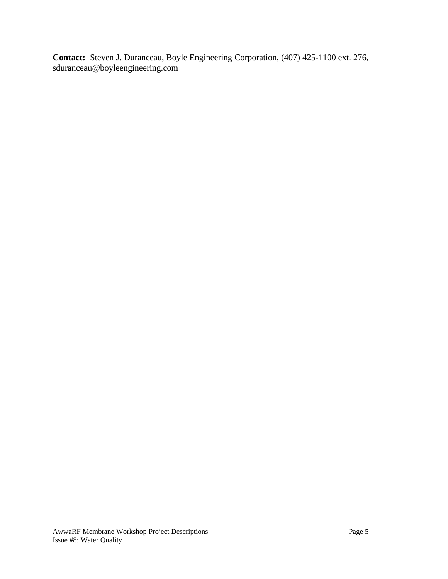**Contact:** Steven J. Duranceau, Boyle Engineering Corporation, (407) 425-1100 ext. 276, sduranceau@boyleengineering.com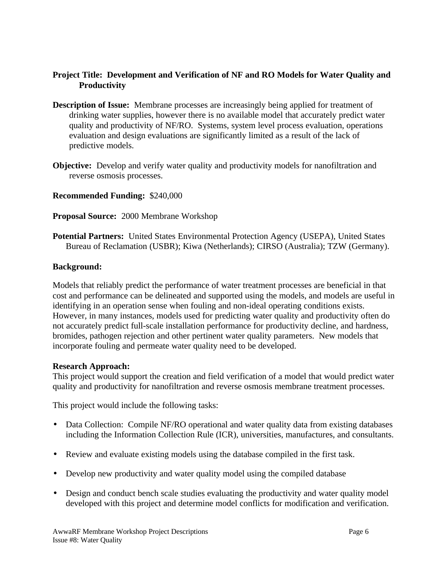## **Project Title: Development and Verification of NF and RO Models for Water Quality and Productivity**

- **Description of Issue:** Membrane processes are increasingly being applied for treatment of drinking water supplies, however there is no available model that accurately predict water quality and productivity of NF/RO. Systems, system level process evaluation, operations evaluation and design evaluations are significantly limited as a result of the lack of predictive models.
- **Objective:** Develop and verify water quality and productivity models for nanofiltration and reverse osmosis processes.

**Recommended Funding:** \$240,000

**Proposal Source:** 2000 Membrane Workshop

**Potential Partners:** United States Environmental Protection Agency (USEPA), United States Bureau of Reclamation (USBR); Kiwa (Netherlands); CIRSO (Australia); TZW (Germany).

## **Background:**

Models that reliably predict the performance of water treatment processes are beneficial in that cost and performance can be delineated and supported using the models, and models are useful in identifying in an operation sense when fouling and non-ideal operating conditions exists. However, in many instances, models used for predicting water quality and productivity often do not accurately predict full-scale installation performance for productivity decline, and hardness, bromides, pathogen rejection and other pertinent water quality parameters. New models that incorporate fouling and permeate water quality need to be developed.

### **Research Approach:**

This project would support the creation and field verification of a model that would predict water quality and productivity for nanofiltration and reverse osmosis membrane treatment processes.

This project would include the following tasks:

- Data Collection: Compile NF/RO operational and water quality data from existing databases including the Information Collection Rule (ICR), universities, manufactures, and consultants.
- Review and evaluate existing models using the database compiled in the first task.
- Develop new productivity and water quality model using the compiled database
- Design and conduct bench scale studies evaluating the productivity and water quality model developed with this project and determine model conflicts for modification and verification.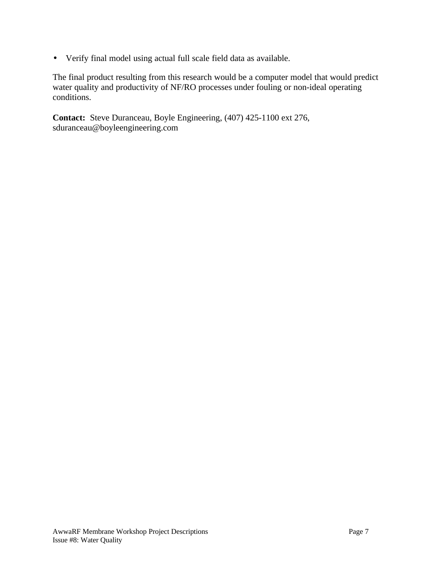• Verify final model using actual full scale field data as available.

The final product resulting from this research would be a computer model that would predict water quality and productivity of NF/RO processes under fouling or non-ideal operating conditions.

**Contact:** Steve Duranceau, Boyle Engineering, (407) 425-1100 ext 276, sduranceau@boyleengineering.com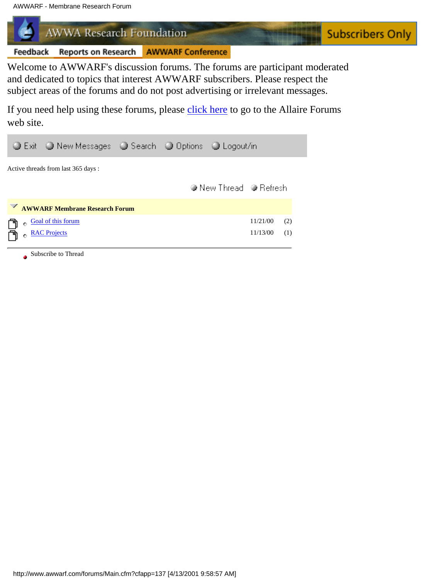<span id="page-69-0"></span>AWWARF - Membrane Research Forum

**AWWA Research Foundation** 

Reports on Research AWWARF Conference Feedback

Welcome to AWWARF's discussion forums. The forums are participant moderated and dedicated to topics that interest AWWARF subscribers. Please respect the subject areas of the forums and do not post advertising or irrelevant messages.

**Subscribers Only** 

If you need help using these forums, please [click here](http://web-nt2.xor.com/forums/docs/User/index.htm) to go to the Allaire Forums web site.

|                                     |            | ● Exit ● New Messages ● Search ● Options ● Logout/in |  |  |                        |          |     |  |  |
|-------------------------------------|------------|------------------------------------------------------|--|--|------------------------|----------|-----|--|--|
| Active threads from last 365 days : |            |                                                      |  |  |                        |          |     |  |  |
|                                     |            |                                                      |  |  | ● New Thread ● Refresh |          |     |  |  |
|                                     |            | <b>EXAMPLE AWWARF Membrane Research Forum</b>        |  |  |                        |          |     |  |  |
|                                     | $\bullet$  | Goal of this forum                                   |  |  |                        | 11/21/00 | (2) |  |  |
|                                     | $\Theta$ . | <b>RAC Projects</b>                                  |  |  |                        | 11/13/00 | (1) |  |  |

Subscribe to Thread